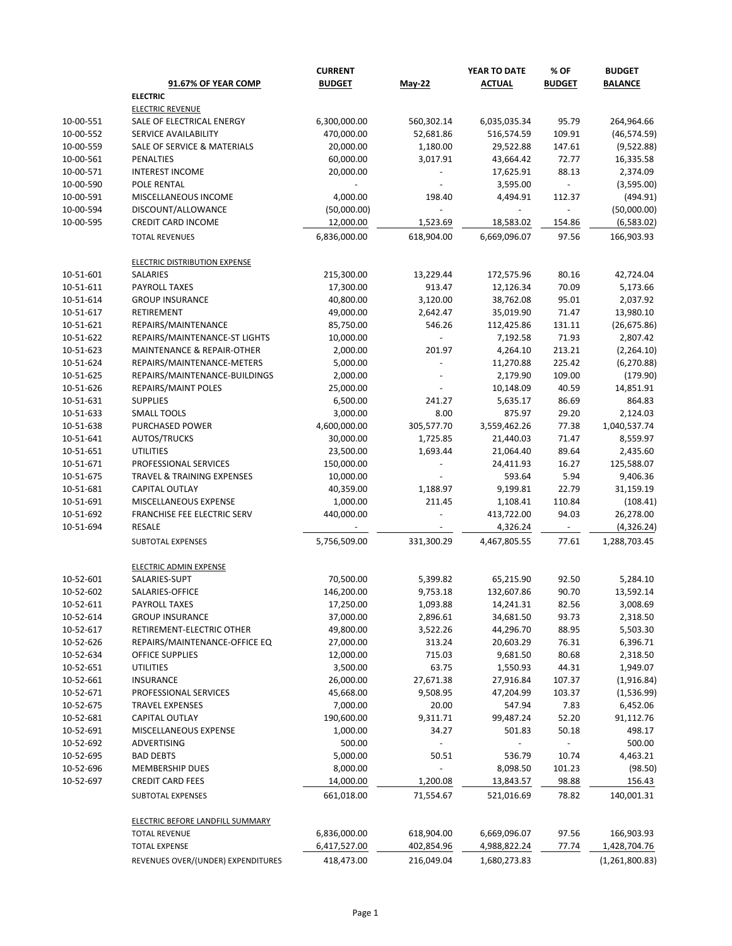|           |                                       | <b>CURRENT</b> |               | YEAR TO DATE  | % OF                     | <b>BUDGET</b>  |
|-----------|---------------------------------------|----------------|---------------|---------------|--------------------------|----------------|
|           | <b>91.67% OF YEAR COMP</b>            | <b>BUDGET</b>  | <b>May-22</b> | <b>ACTUAL</b> | <b>BUDGET</b>            | <b>BALANCE</b> |
|           | <b>ELECTRIC</b>                       |                |               |               |                          |                |
|           | <b>ELECTRIC REVENUE</b>               |                |               |               |                          |                |
| 10-00-551 | SALE OF ELECTRICAL ENERGY             | 6,300,000.00   | 560,302.14    | 6,035,035.34  | 95.79                    | 264,964.66     |
| 10-00-552 | SERVICE AVAILABILITY                  | 470,000.00     | 52,681.86     | 516,574.59    | 109.91                   | (46, 574.59)   |
| 10-00-559 | SALE OF SERVICE & MATERIALS           | 20,000.00      | 1,180.00      | 29,522.88     | 147.61                   | (9,522.88)     |
| 10-00-561 | PENALTIES                             | 60,000.00      | 3,017.91      | 43,664.42     | 72.77                    | 16,335.58      |
| 10-00-571 | <b>INTEREST INCOME</b>                | 20,000.00      |               | 17,625.91     | 88.13                    | 2,374.09       |
| 10-00-590 | POLE RENTAL                           |                |               | 3,595.00      | $\overline{\phantom{a}}$ | (3,595.00)     |
| 10-00-591 | MISCELLANEOUS INCOME                  | 4,000.00       | 198.40        | 4,494.91      | 112.37                   | (494.91)       |
| 10-00-594 | DISCOUNT/ALLOWANCE                    | (50,000.00)    |               |               |                          | (50,000.00)    |
| 10-00-595 | <b>CREDIT CARD INCOME</b>             | 12,000.00      | 1,523.69      | 18,583.02     | 154.86                   | (6,583.02)     |
|           | <b>TOTAL REVENUES</b>                 | 6,836,000.00   | 618,904.00    | 6,669,096.07  | 97.56                    | 166,903.93     |
|           | <b>ELECTRIC DISTRIBUTION EXPENSE</b>  |                |               |               |                          |                |
| 10-51-601 | <b>SALARIES</b>                       | 215,300.00     | 13,229.44     | 172,575.96    | 80.16                    | 42,724.04      |
| 10-51-611 | PAYROLL TAXES                         | 17,300.00      | 913.47        | 12,126.34     | 70.09                    | 5,173.66       |
| 10-51-614 | <b>GROUP INSURANCE</b>                | 40,800.00      | 3,120.00      | 38,762.08     | 95.01                    | 2,037.92       |
| 10-51-617 | RETIREMENT                            | 49,000.00      | 2,642.47      | 35,019.90     | 71.47                    | 13,980.10      |
| 10-51-621 | REPAIRS/MAINTENANCE                   | 85,750.00      | 546.26        | 112,425.86    | 131.11                   | (26, 675.86)   |
| 10-51-622 | REPAIRS/MAINTENANCE-ST LIGHTS         | 10,000.00      |               | 7,192.58      | 71.93                    | 2,807.42       |
| 10-51-623 | MAINTENANCE & REPAIR-OTHER            | 2,000.00       | 201.97        | 4,264.10      | 213.21                   | (2,264.10)     |
| 10-51-624 | REPAIRS/MAINTENANCE-METERS            | 5,000.00       |               | 11,270.88     | 225.42                   | (6, 270.88)    |
| 10-51-625 | REPAIRS/MAINTENANCE-BUILDINGS         | 2,000.00       |               | 2,179.90      | 109.00                   | (179.90)       |
| 10-51-626 | REPAIRS/MAINT POLES                   | 25,000.00      |               | 10,148.09     | 40.59                    | 14,851.91      |
| 10-51-631 | <b>SUPPLIES</b>                       | 6,500.00       | 241.27        | 5,635.17      | 86.69                    | 864.83         |
| 10-51-633 | <b>SMALL TOOLS</b>                    | 3,000.00       | 8.00          | 875.97        | 29.20                    | 2,124.03       |
| 10-51-638 | PURCHASED POWER                       | 4,600,000.00   | 305,577.70    | 3,559,462.26  | 77.38                    | 1,040,537.74   |
| 10-51-641 | AUTOS/TRUCKS                          | 30,000.00      | 1,725.85      | 21,440.03     | 71.47                    | 8,559.97       |
| 10-51-651 | <b>UTILITIES</b>                      | 23,500.00      | 1,693.44      | 21,064.40     | 89.64                    | 2,435.60       |
| 10-51-671 | PROFESSIONAL SERVICES                 | 150,000.00     |               | 24,411.93     | 16.27                    | 125,588.07     |
| 10-51-675 | <b>TRAVEL &amp; TRAINING EXPENSES</b> | 10,000.00      |               | 593.64        | 5.94                     | 9,406.36       |
| 10-51-681 | CAPITAL OUTLAY                        | 40,359.00      | 1,188.97      | 9,199.81      | 22.79                    | 31,159.19      |
| 10-51-691 | MISCELLANEOUS EXPENSE                 | 1,000.00       | 211.45        | 1,108.41      | 110.84                   | (108.41)       |
| 10-51-692 | FRANCHISE FEE ELECTRIC SERV           | 440,000.00     |               | 413,722.00    | 94.03                    | 26,278.00      |
| 10-51-694 | <b>RESALE</b>                         |                |               | 4,326.24      | $\sim$                   | (4,326.24)     |
|           | SUBTOTAL EXPENSES                     | 5,756,509.00   | 331,300.29    | 4,467,805.55  | 77.61                    | 1,288,703.45   |
|           | <b>ELECTRIC ADMIN EXPENSE</b>         |                |               |               |                          |                |
| 10-52-601 | SALARIES-SUPT                         | 70,500.00      | 5,399.82      | 65,215.90     | 92.50                    | 5,284.10       |
| 10-52-602 | SALARIES-OFFICE                       | 146,200.00     | 9,753.18      | 132,607.86    | 90.70                    | 13,592.14      |
| 10-52-611 | PAYROLL TAXES                         | 17,250.00      | 1,093.88      | 14,241.31     | 82.56                    | 3,008.69       |
| 10-52-614 | <b>GROUP INSURANCE</b>                | 37,000.00      | 2,896.61      | 34,681.50     | 93.73                    | 2,318.50       |
| 10-52-617 | RETIREMENT-ELECTRIC OTHER             | 49,800.00      | 3,522.26      | 44,296.70     | 88.95                    | 5,503.30       |
| 10-52-626 | REPAIRS/MAINTENANCE-OFFICE EQ         | 27,000.00      | 313.24        | 20,603.29     | 76.31                    | 6,396.71       |
| 10-52-634 | <b>OFFICE SUPPLIES</b>                | 12,000.00      | 715.03        | 9,681.50      | 80.68                    | 2,318.50       |
| 10-52-651 | <b>UTILITIES</b>                      | 3,500.00       | 63.75         | 1,550.93      | 44.31                    | 1,949.07       |
| 10-52-661 | <b>INSURANCE</b>                      | 26,000.00      |               |               | 107.37                   |                |
|           |                                       |                | 27,671.38     | 27,916.84     |                          | (1,916.84)     |
| 10-52-671 | PROFESSIONAL SERVICES                 | 45,668.00      | 9,508.95      | 47,204.99     | 103.37                   | (1,536.99)     |
| 10-52-675 | <b>TRAVEL EXPENSES</b>                | 7,000.00       | 20.00         | 547.94        | 7.83                     | 6,452.06       |
| 10-52-681 | CAPITAL OUTLAY                        | 190,600.00     | 9,311.71      | 99,487.24     | 52.20                    | 91,112.76      |
| 10-52-691 | MISCELLANEOUS EXPENSE                 | 1,000.00       | 34.27         | 501.83        | 50.18                    | 498.17         |
| 10-52-692 | ADVERTISING                           | 500.00         |               |               |                          | 500.00         |
| 10-52-695 | <b>BAD DEBTS</b>                      | 5,000.00       | 50.51         | 536.79        | 10.74                    | 4,463.21       |
| 10-52-696 | <b>MEMBERSHIP DUES</b>                | 8,000.00       |               | 8,098.50      | 101.23                   | (98.50)        |
| 10-52-697 | <b>CREDIT CARD FEES</b>               | 14,000.00      | 1,200.08      | 13,843.57     | 98.88                    | 156.43         |
|           | SUBTOTAL EXPENSES                     | 661,018.00     | 71,554.67     | 521,016.69    | 78.82                    | 140,001.31     |
|           | ELECTRIC BEFORE LANDFILL SUMMARY      |                |               |               |                          |                |
|           | <b>TOTAL REVENUE</b>                  | 6,836,000.00   | 618,904.00    | 6,669,096.07  | 97.56                    | 166,903.93     |
|           | <b>TOTAL EXPENSE</b>                  | 6,417,527.00   | 402,854.96    | 4,988,822.24  | 77.74                    | 1,428,704.76   |
|           | REVENUES OVER/(UNDER) EXPENDITURES    | 418,473.00     | 216,049.04    | 1,680,273.83  |                          | (1,261,800.83) |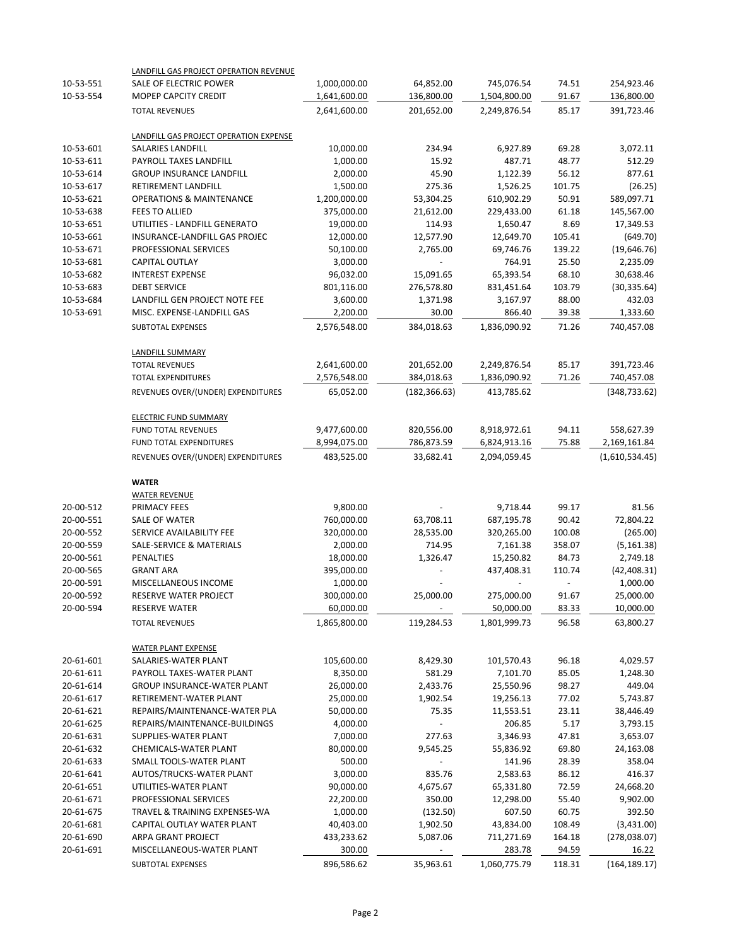|           | LANDFILL GAS PROJECT OPERATION REVENUE |              |                          |              |        |                |
|-----------|----------------------------------------|--------------|--------------------------|--------------|--------|----------------|
| 10-53-551 | SALE OF ELECTRIC POWER                 | 1,000,000.00 | 64,852.00                | 745,076.54   | 74.51  | 254,923.46     |
| 10-53-554 | MOPEP CAPCITY CREDIT                   | 1,641,600.00 | 136,800.00               | 1,504,800.00 | 91.67  | 136,800.00     |
|           | <b>TOTAL REVENUES</b>                  | 2,641,600.00 | 201,652.00               | 2,249,876.54 | 85.17  | 391,723.46     |
|           | LANDFILL GAS PROJECT OPERATION EXPENSE |              |                          |              |        |                |
| 10-53-601 | SALARIES LANDFILL                      | 10,000.00    | 234.94                   | 6,927.89     | 69.28  | 3,072.11       |
| 10-53-611 | PAYROLL TAXES LANDFILL                 | 1,000.00     | 15.92                    | 487.71       | 48.77  | 512.29         |
| 10-53-614 | <b>GROUP INSURANCE LANDFILL</b>        | 2,000.00     | 45.90                    | 1,122.39     | 56.12  | 877.61         |
| 10-53-617 | RETIREMENT LANDFILL                    | 1,500.00     | 275.36                   | 1,526.25     | 101.75 | (26.25)        |
| 10-53-621 | <b>OPERATIONS &amp; MAINTENANCE</b>    | 1,200,000.00 | 53,304.25                | 610,902.29   | 50.91  | 589,097.71     |
| 10-53-638 | <b>FEES TO ALLIED</b>                  | 375,000.00   | 21,612.00                | 229,433.00   | 61.18  | 145,567.00     |
| 10-53-651 | UTILITIES - LANDFILL GENERATO          | 19,000.00    | 114.93                   | 1,650.47     | 8.69   | 17,349.53      |
| 10-53-661 | INSURANCE-LANDFILL GAS PROJEC          | 12,000.00    | 12,577.90                | 12,649.70    | 105.41 | (649.70)       |
| 10-53-671 | PROFESSIONAL SERVICES                  | 50,100.00    | 2,765.00                 | 69,746.76    | 139.22 | (19,646.76)    |
| 10-53-681 | <b>CAPITAL OUTLAY</b>                  | 3,000.00     |                          | 764.91       | 25.50  | 2,235.09       |
| 10-53-682 | <b>INTEREST EXPENSE</b>                | 96,032.00    | 15,091.65                | 65,393.54    | 68.10  | 30,638.46      |
| 10-53-683 | <b>DEBT SERVICE</b>                    | 801,116.00   | 276,578.80               | 831,451.64   | 103.79 | (30, 335.64)   |
| 10-53-684 | LANDFILL GEN PROJECT NOTE FEE          | 3,600.00     | 1,371.98                 | 3,167.97     | 88.00  | 432.03         |
| 10-53-691 | MISC. EXPENSE-LANDFILL GAS             | 2,200.00     | 30.00                    | 866.40       | 39.38  | 1,333.60       |
|           | SUBTOTAL EXPENSES                      | 2,576,548.00 | 384,018.63               | 1,836,090.92 | 71.26  | 740,457.08     |
|           | <b>LANDFILL SUMMARY</b>                |              |                          |              |        |                |
|           | <b>TOTAL REVENUES</b>                  | 2,641,600.00 | 201,652.00               | 2,249,876.54 | 85.17  | 391,723.46     |
|           | <b>TOTAL EXPENDITURES</b>              | 2,576,548.00 | 384,018.63               | 1,836,090.92 | 71.26  | 740,457.08     |
|           | REVENUES OVER/(UNDER) EXPENDITURES     | 65,052.00    | (182, 366.63)            | 413,785.62   |        | (348, 733.62)  |
|           | <b>ELECTRIC FUND SUMMARY</b>           |              |                          |              |        |                |
|           | FUND TOTAL REVENUES                    | 9,477,600.00 | 820,556.00               | 8,918,972.61 | 94.11  | 558,627.39     |
|           | FUND TOTAL EXPENDITURES                | 8,994,075.00 | 786,873.59               | 6,824,913.16 | 75.88  | 2,169,161.84   |
|           | REVENUES OVER/(UNDER) EXPENDITURES     | 483,525.00   | 33,682.41                | 2,094,059.45 |        | (1,610,534.45) |
|           | <b>WATER</b>                           |              |                          |              |        |                |
|           | <b>WATER REVENUE</b>                   |              |                          |              |        |                |
| 20-00-512 | PRIMACY FEES                           | 9,800.00     |                          | 9,718.44     | 99.17  | 81.56          |
| 20-00-551 | <b>SALE OF WATER</b>                   | 760,000.00   | 63,708.11                | 687,195.78   | 90.42  | 72,804.22      |
| 20-00-552 | SERVICE AVAILABILITY FEE               | 320,000.00   | 28,535.00                | 320,265.00   | 100.08 | (265.00)       |
| 20-00-559 | <b>SALE-SERVICE &amp; MATERIALS</b>    | 2,000.00     | 714.95                   | 7,161.38     | 358.07 | (5, 161.38)    |
| 20-00-561 | <b>PENALTIES</b>                       | 18,000.00    | 1,326.47                 | 15,250.82    | 84.73  | 2,749.18       |
| 20-00-565 | <b>GRANT ARA</b>                       | 395,000.00   |                          | 437,408.31   | 110.74 | (42, 408.31)   |
| 20-00-591 | MISCELLANEOUS INCOME                   | 1,000.00     |                          |              |        | 1,000.00       |
| 20-00-592 | RESERVE WATER PROJECT                  | 300,000.00   | 25,000.00                | 275,000.00   | 91.67  | 25,000.00      |
| 20-00-594 | <b>RESERVE WATER</b>                   | 60,000.00    |                          | 50,000.00    | 83.33  | 10,000.00      |
|           | <b>TOTAL REVENUES</b>                  | 1,865,800.00 | 119,284.53               | 1,801,999.73 | 96.58  | 63,800.27      |
|           | <b>WATER PLANT EXPENSE</b>             |              |                          |              |        |                |
| 20-61-601 | SALARIES-WATER PLANT                   | 105,600.00   | 8,429.30                 | 101,570.43   | 96.18  | 4,029.57       |
| 20-61-611 | PAYROLL TAXES-WATER PLANT              | 8,350.00     | 581.29                   | 7,101.70     | 85.05  | 1,248.30       |
| 20-61-614 | GROUP INSURANCE-WATER PLANT            | 26,000.00    | 2,433.76                 | 25,550.96    | 98.27  | 449.04         |
| 20-61-617 | RETIREMENT-WATER PLANT                 | 25,000.00    | 1,902.54                 | 19,256.13    | 77.02  | 5,743.87       |
| 20-61-621 | REPAIRS/MAINTENANCE-WATER PLA          | 50,000.00    | 75.35                    | 11,553.51    | 23.11  | 38,446.49      |
| 20-61-625 | REPAIRS/MAINTENANCE-BUILDINGS          | 4,000.00     |                          | 206.85       | 5.17   | 3,793.15       |
| 20-61-631 | SUPPLIES-WATER PLANT                   | 7,000.00     | 277.63                   | 3,346.93     | 47.81  | 3,653.07       |
| 20-61-632 | CHEMICALS-WATER PLANT                  | 80,000.00    | 9,545.25                 | 55,836.92    | 69.80  | 24,163.08      |
| 20-61-633 | SMALL TOOLS-WATER PLANT                | 500.00       | $\overline{\phantom{a}}$ | 141.96       | 28.39  | 358.04         |
| 20-61-641 | AUTOS/TRUCKS-WATER PLANT               | 3,000.00     | 835.76                   | 2,583.63     | 86.12  | 416.37         |
| 20-61-651 | UTILITIES-WATER PLANT                  | 90,000.00    | 4,675.67                 | 65,331.80    | 72.59  | 24,668.20      |
| 20-61-671 | PROFESSIONAL SERVICES                  | 22,200.00    | 350.00                   | 12,298.00    | 55.40  | 9,902.00       |
| 20-61-675 | TRAVEL & TRAINING EXPENSES-WA          | 1,000.00     | (132.50)                 | 607.50       | 60.75  | 392.50         |
| 20-61-681 | CAPITAL OUTLAY WATER PLANT             | 40,403.00    | 1,902.50                 | 43,834.00    | 108.49 | (3,431.00)     |
| 20-61-690 | ARPA GRANT PROJECT                     | 433,233.62   | 5,087.06                 | 711,271.69   | 164.18 | (278, 038.07)  |
| 20-61-691 | MISCELLANEOUS-WATER PLANT              | 300.00       |                          | 283.78       | 94.59  | 16.22          |
|           | SUBTOTAL EXPENSES                      | 896,586.62   | 35,963.61                | 1,060,775.79 | 118.31 | (164, 189.17)  |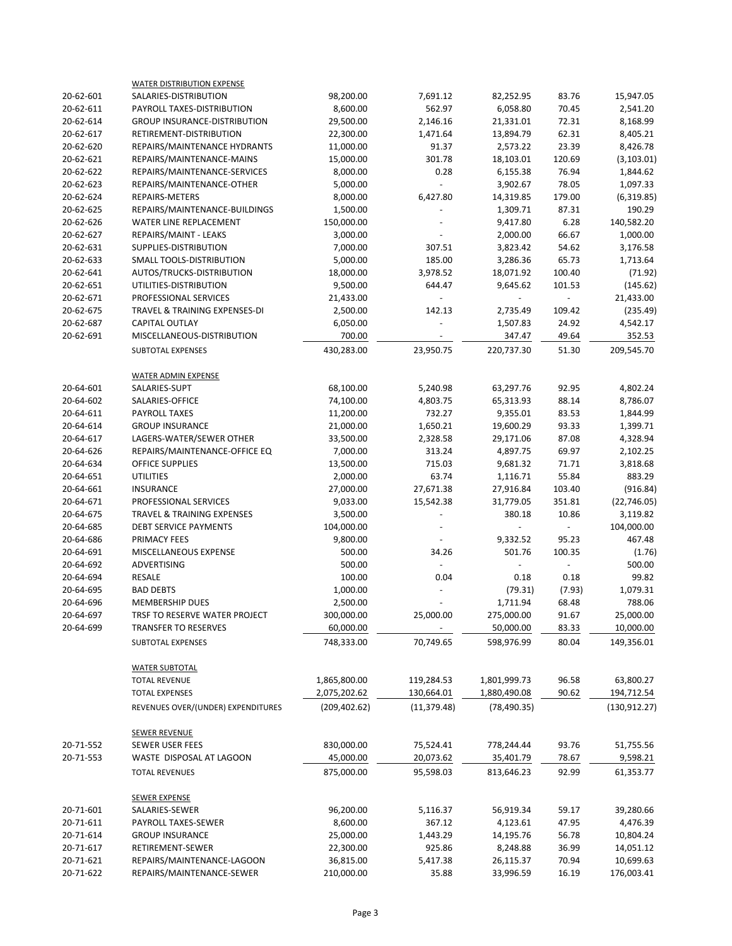|           | <b>WATER DISTRIBUTION EXPENSE</b>   |               |              |              |        |               |
|-----------|-------------------------------------|---------------|--------------|--------------|--------|---------------|
| 20-62-601 | SALARIES-DISTRIBUTION               | 98,200.00     | 7,691.12     | 82,252.95    | 83.76  | 15,947.05     |
| 20-62-611 | PAYROLL TAXES-DISTRIBUTION          | 8,600.00      | 562.97       | 6,058.80     | 70.45  | 2,541.20      |
| 20-62-614 | <b>GROUP INSURANCE-DISTRIBUTION</b> | 29,500.00     | 2,146.16     | 21,331.01    | 72.31  | 8,168.99      |
| 20-62-617 | RETIREMENT-DISTRIBUTION             | 22,300.00     | 1,471.64     | 13,894.79    | 62.31  | 8,405.21      |
| 20-62-620 | REPAIRS/MAINTENANCE HYDRANTS        | 11,000.00     | 91.37        | 2,573.22     | 23.39  | 8,426.78      |
| 20-62-621 | REPAIRS/MAINTENANCE-MAINS           | 15,000.00     | 301.78       | 18,103.01    | 120.69 | (3, 103.01)   |
| 20-62-622 | REPAIRS/MAINTENANCE-SERVICES        | 8,000.00      | 0.28         | 6,155.38     | 76.94  | 1,844.62      |
| 20-62-623 | REPAIRS/MAINTENANCE-OTHER           | 5,000.00      |              | 3,902.67     | 78.05  | 1,097.33      |
| 20-62-624 | REPAIRS-METERS                      | 8,000.00      | 6,427.80     | 14,319.85    | 179.00 | (6,319.85)    |
| 20-62-625 | REPAIRS/MAINTENANCE-BUILDINGS       | 1,500.00      |              | 1,309.71     | 87.31  | 190.29        |
| 20-62-626 | WATER LINE REPLACEMENT              | 150,000.00    |              | 9,417.80     | 6.28   | 140,582.20    |
| 20-62-627 | REPAIRS/MAINT - LEAKS               | 3,000.00      |              | 2,000.00     | 66.67  | 1,000.00      |
| 20-62-631 | SUPPLIES-DISTRIBUTION               | 7,000.00      | 307.51       | 3,823.42     | 54.62  | 3,176.58      |
| 20-62-633 | SMALL TOOLS-DISTRIBUTION            | 5,000.00      | 185.00       | 3,286.36     | 65.73  | 1,713.64      |
| 20-62-641 | AUTOS/TRUCKS-DISTRIBUTION           | 18,000.00     | 3,978.52     | 18,071.92    | 100.40 | (71.92)       |
| 20-62-651 | UTILITIES-DISTRIBUTION              | 9,500.00      | 644.47       | 9,645.62     | 101.53 | (145.62)      |
| 20-62-671 | PROFESSIONAL SERVICES               | 21,433.00     |              |              |        | 21,433.00     |
| 20-62-675 | TRAVEL & TRAINING EXPENSES-DI       | 2,500.00      | 142.13       | 2,735.49     | 109.42 | (235.49)      |
| 20-62-687 | CAPITAL OUTLAY                      | 6,050.00      |              | 1,507.83     | 24.92  | 4,542.17      |
| 20-62-691 | MISCELLANEOUS-DISTRIBUTION          | 700.00        |              | 347.47       | 49.64  | 352.53        |
|           | SUBTOTAL EXPENSES                   | 430,283.00    | 23,950.75    | 220,737.30   | 51.30  | 209,545.70    |
|           | <b>WATER ADMIN EXPENSE</b>          |               |              |              |        |               |
| 20-64-601 | SALARIES-SUPT                       | 68,100.00     | 5,240.98     | 63,297.76    | 92.95  | 4,802.24      |
| 20-64-602 | SALARIES-OFFICE                     | 74,100.00     | 4,803.75     | 65,313.93    | 88.14  | 8,786.07      |
| 20-64-611 | PAYROLL TAXES                       | 11,200.00     | 732.27       | 9,355.01     | 83.53  | 1,844.99      |
| 20-64-614 | <b>GROUP INSURANCE</b>              | 21,000.00     | 1,650.21     | 19,600.29    | 93.33  | 1,399.71      |
| 20-64-617 | LAGERS-WATER/SEWER OTHER            | 33,500.00     | 2,328.58     | 29,171.06    | 87.08  | 4,328.94      |
| 20-64-626 | REPAIRS/MAINTENANCE-OFFICE EQ       | 7,000.00      | 313.24       | 4,897.75     | 69.97  | 2,102.25      |
| 20-64-634 | <b>OFFICE SUPPLIES</b>              | 13,500.00     | 715.03       | 9,681.32     | 71.71  | 3,818.68      |
| 20-64-651 | <b>UTILITIES</b>                    | 2,000.00      | 63.74        | 1,116.71     | 55.84  | 883.29        |
| 20-64-661 | <b>INSURANCE</b>                    | 27,000.00     | 27,671.38    | 27,916.84    | 103.40 | (916.84)      |
| 20-64-671 | PROFESSIONAL SERVICES               | 9,033.00      | 15,542.38    | 31,779.05    | 351.81 | (22, 746.05)  |
| 20-64-675 | TRAVEL & TRAINING EXPENSES          | 3,500.00      |              | 380.18       | 10.86  | 3,119.82      |
| 20-64-685 | <b>DEBT SERVICE PAYMENTS</b>        | 104,000.00    |              |              |        | 104,000.00    |
| 20-64-686 | <b>PRIMACY FEES</b>                 | 9,800.00      |              | 9,332.52     | 95.23  | 467.48        |
| 20-64-691 | MISCELLANEOUS EXPENSE               | 500.00        | 34.26        | 501.76       | 100.35 | (1.76)        |
| 20-64-692 | <b>ADVERTISING</b>                  | 500.00        |              |              |        | 500.00        |
| 20-64-694 | <b>RESALE</b>                       | 100.00        | 0.04         | 0.18         | 0.18   | 99.82         |
| 20-64-695 | <b>BAD DEBTS</b>                    | 1,000.00      |              | (79.31)      | (7.93) | 1,079.31      |
| 20-64-696 | MEMBERSHIP DUES                     | 2,500.00      |              | 1,711.94     | 68.48  | 788.06        |
| 20-64-697 | TRSF TO RESERVE WATER PROJECT       | 300,000.00    | 25,000.00    | 275,000.00   | 91.67  | 25,000.00     |
| 20-64-699 | <b>TRANSFER TO RESERVES</b>         | 60,000.00     |              | 50,000.00    | 83.33  | 10,000.00     |
|           | SUBTOTAL EXPENSES                   | 748,333.00    | 70,749.65    | 598,976.99   | 80.04  | 149,356.01    |
|           | <b>WATER SUBTOTAL</b>               |               |              |              |        |               |
|           | <b>TOTAL REVENUE</b>                | 1,865,800.00  | 119,284.53   | 1,801,999.73 | 96.58  | 63,800.27     |
|           | <b>TOTAL EXPENSES</b>               | 2,075,202.62  | 130,664.01   | 1,880,490.08 | 90.62  | 194,712.54    |
|           | REVENUES OVER/(UNDER) EXPENDITURES  | (209, 402.62) | (11, 379.48) | (78, 490.35) |        | (130, 912.27) |
|           | <b>SEWER REVENUE</b>                |               |              |              |        |               |
| 20-71-552 | <b>SEWER USER FEES</b>              | 830,000.00    | 75,524.41    | 778,244.44   | 93.76  | 51,755.56     |
| 20-71-553 | WASTE DISPOSAL AT LAGOON            | 45,000.00     | 20,073.62    | 35,401.79    | 78.67  | 9,598.21      |
|           | <b>TOTAL REVENUES</b>               | 875,000.00    | 95,598.03    | 813,646.23   | 92.99  | 61,353.77     |
|           | <b>SEWER EXPENSE</b>                |               |              |              |        |               |
| 20-71-601 | SALARIES-SEWER                      | 96,200.00     | 5,116.37     | 56,919.34    | 59.17  | 39,280.66     |
| 20-71-611 | PAYROLL TAXES-SEWER                 | 8,600.00      | 367.12       | 4,123.61     | 47.95  | 4,476.39      |
| 20-71-614 | <b>GROUP INSURANCE</b>              | 25,000.00     | 1,443.29     | 14,195.76    | 56.78  | 10,804.24     |
| 20-71-617 | RETIREMENT-SEWER                    | 22,300.00     | 925.86       | 8,248.88     | 36.99  | 14,051.12     |
| 20-71-621 | REPAIRS/MAINTENANCE-LAGOON          | 36,815.00     | 5,417.38     | 26,115.37    | 70.94  | 10,699.63     |
| 20-71-622 | REPAIRS/MAINTENANCE-SEWER           | 210,000.00    | 35.88        | 33,996.59    | 16.19  | 176,003.41    |
|           |                                     |               |              |              |        |               |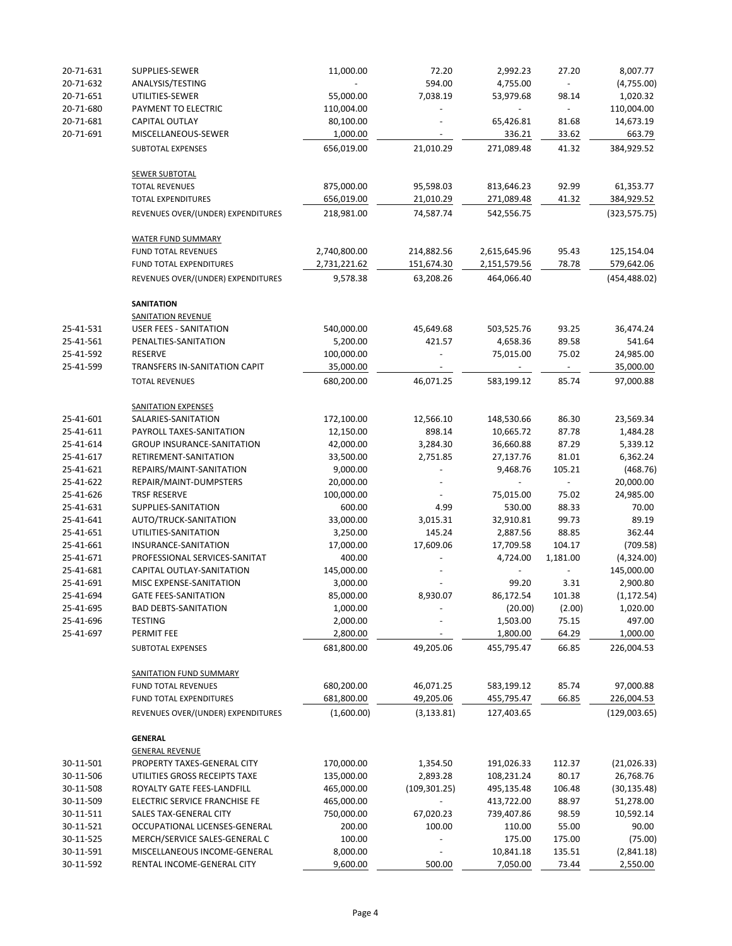| 20-71-631              | SUPPLIES-SEWER                                    | 11,000.00              | 72.20                    | 2,992.23              | 27.20          | 8,007.77            |
|------------------------|---------------------------------------------------|------------------------|--------------------------|-----------------------|----------------|---------------------|
| 20-71-632              | ANALYSIS/TESTING                                  | $\blacksquare$         | 594.00                   | 4,755.00              | $\blacksquare$ | (4,755.00)          |
| 20-71-651              | UTILITIES-SEWER                                   | 55,000.00              | 7,038.19                 | 53,979.68             | 98.14          | 1,020.32            |
| 20-71-680              | PAYMENT TO ELECTRIC                               | 110,004.00             |                          |                       |                | 110,004.00          |
| 20-71-681              | CAPITAL OUTLAY                                    | 80,100.00              |                          | 65,426.81             | 81.68          | 14,673.19           |
| 20-71-691              | MISCELLANEOUS-SEWER                               | 1,000.00               |                          | 336.21                | 33.62          | 663.79              |
|                        | SUBTOTAL EXPENSES                                 | 656,019.00             | 21,010.29                | 271,089.48            | 41.32          | 384,929.52          |
|                        | <b>SEWER SUBTOTAL</b>                             |                        |                          |                       |                |                     |
|                        | <b>TOTAL REVENUES</b>                             | 875,000.00             | 95,598.03                | 813,646.23            | 92.99          | 61,353.77           |
|                        | <b>TOTAL EXPENDITURES</b>                         | 656,019.00             | 21,010.29                | 271,089.48            | 41.32          | 384,929.52          |
|                        | REVENUES OVER/(UNDER) EXPENDITURES                | 218,981.00             | 74,587.74                | 542,556.75            |                | (323, 575.75)       |
|                        | <b>WATER FUND SUMMARY</b>                         |                        |                          |                       |                |                     |
|                        | <b>FUND TOTAL REVENUES</b>                        | 2,740,800.00           | 214,882.56               | 2,615,645.96          | 95.43          | 125,154.04          |
|                        | FUND TOTAL EXPENDITURES                           | 2,731,221.62           | 151,674.30               | 2,151,579.56          | 78.78          | 579,642.06          |
|                        | REVENUES OVER/(UNDER) EXPENDITURES                | 9,578.38               | 63,208.26                | 464,066.40            |                | (454, 488.02)       |
|                        | <b>SANITATION</b>                                 |                        |                          |                       |                |                     |
|                        | <b>SANITATION REVENUE</b>                         |                        |                          |                       |                |                     |
| 25-41-531              | <b>USER FEES - SANITATION</b>                     | 540,000.00             | 45,649.68                | 503,525.76            | 93.25          | 36,474.24           |
| 25-41-561<br>25-41-592 | PENALTIES-SANITATION<br><b>RESERVE</b>            | 5,200.00<br>100,000.00 | 421.57                   | 4,658.36<br>75,015.00 | 89.58<br>75.02 | 541.64<br>24,985.00 |
| 25-41-599              | TRANSFERS IN-SANITATION CAPIT                     | 35,000.00              |                          |                       |                | 35,000.00           |
|                        | <b>TOTAL REVENUES</b>                             | 680,200.00             | 46,071.25                | 583,199.12            | 85.74          | 97,000.88           |
|                        |                                                   |                        |                          |                       |                |                     |
| 25-41-601              | <b>SANITATION EXPENSES</b><br>SALARIES-SANITATION | 172,100.00             | 12,566.10                | 148,530.66            | 86.30          | 23,569.34           |
| 25-41-611              | PAYROLL TAXES-SANITATION                          | 12,150.00              | 898.14                   | 10,665.72             | 87.78          | 1,484.28            |
| 25-41-614              | <b>GROUP INSURANCE-SANITATION</b>                 | 42,000.00              | 3,284.30                 | 36,660.88             | 87.29          | 5,339.12            |
| 25-41-617              | RETIREMENT-SANITATION                             | 33,500.00              | 2,751.85                 | 27,137.76             | 81.01          | 6,362.24            |
| 25-41-621              | REPAIRS/MAINT-SANITATION                          | 9,000.00               |                          | 9,468.76              | 105.21         | (468.76)            |
| 25-41-622              | REPAIR/MAINT-DUMPSTERS                            | 20,000.00              |                          |                       |                | 20,000.00           |
| 25-41-626              | TRSF RESERVE                                      | 100,000.00             |                          | 75,015.00             | 75.02          | 24,985.00           |
| 25-41-631              | SUPPLIES-SANITATION                               | 600.00                 | 4.99                     | 530.00                | 88.33          | 70.00               |
| 25-41-641              | AUTO/TRUCK-SANITATION                             | 33,000.00              | 3,015.31                 | 32,910.81             | 99.73          | 89.19               |
| 25-41-651              | UTILITIES-SANITATION                              | 3,250.00               | 145.24                   | 2,887.56              | 88.85          | 362.44              |
| 25-41-661              | INSURANCE-SANITATION                              | 17,000.00              | 17,609.06                | 17,709.58             | 104.17         | (709.58)            |
| 25-41-671              | PROFESSIONAL SERVICES-SANITAT                     | 400.00                 |                          | 4,724.00              | 1,181.00       | (4,324.00)          |
| 25-41-681              | CAPITAL OUTLAY-SANITATION                         | 145,000.00             |                          |                       |                | 145,000.00          |
| 25-41-691              | MISC EXPENSE-SANITATION                           | 3,000.00               |                          | 99.20                 | 3.31           | 2,900.80            |
| 25-41-694              | <b>GATE FEES-SANITATION</b>                       | 85,000.00              | 8,930.07                 | 86,172.54             | 101.38         | (1, 172.54)         |
| 25-41-695              | <b>BAD DEBTS-SANITATION</b>                       | 1,000.00               |                          | (20.00)               | (2.00)         | 1,020.00            |
| 25-41-696              | <b>TESTING</b>                                    | 2,000.00               |                          | 1,503.00              | 75.15          | 497.00              |
| 25-41-697              | PERMIT FEE                                        | 2,800.00               |                          | 1,800.00              | 64.29          | 1,000.00            |
|                        | SUBTOTAL EXPENSES                                 | 681,800.00             | 49,205.06                | 455,795.47            | 66.85          | 226,004.53          |
|                        | <b>SANITATION FUND SUMMARY</b>                    |                        |                          |                       |                |                     |
|                        | <b>FUND TOTAL REVENUES</b>                        | 680,200.00             | 46,071.25                | 583,199.12            | 85.74          | 97,000.88           |
|                        | FUND TOTAL EXPENDITURES                           | 681,800.00             | 49,205.06                | 455,795.47            | 66.85          | 226,004.53          |
|                        | REVENUES OVER/(UNDER) EXPENDITURES                | (1,600.00)             | (3, 133.81)              | 127,403.65            |                | (129,003.65)        |
|                        | <b>GENERAL</b>                                    |                        |                          |                       |                |                     |
|                        | <b>GENERAL REVENUE</b>                            |                        |                          |                       |                |                     |
| 30-11-501              | PROPERTY TAXES-GENERAL CITY                       | 170,000.00             | 1,354.50                 | 191,026.33            | 112.37         | (21,026.33)         |
| 30-11-506              | UTILITIES GROSS RECEIPTS TAXE                     | 135,000.00             | 2,893.28                 | 108,231.24            | 80.17          | 26,768.76           |
| 30-11-508              | ROYALTY GATE FEES-LANDFILL                        | 465,000.00             | (109, 301.25)            | 495,135.48            | 106.48         | (30, 135.48)        |
| 30-11-509              | ELECTRIC SERVICE FRANCHISE FE                     | 465,000.00             |                          | 413,722.00            | 88.97          | 51,278.00           |
| 30-11-511              | <b>SALES TAX-GENERAL CITY</b>                     | 750,000.00             | 67,020.23                | 739,407.86            | 98.59          | 10,592.14           |
| 30-11-521              | OCCUPATIONAL LICENSES-GENERAL                     | 200.00                 | 100.00                   | 110.00                | 55.00          | 90.00               |
| 30-11-525              | MERCH/SERVICE SALES-GENERAL C                     | 100.00                 |                          | 175.00                | 175.00         | (75.00)             |
| 30-11-591              | MISCELLANEOUS INCOME-GENERAL                      | 8,000.00               | $\overline{\phantom{a}}$ | 10,841.18             | 135.51         | (2,841.18)          |
| 30-11-592              | RENTAL INCOME-GENERAL CITY                        | 9,600.00               | 500.00                   | 7,050.00              | 73.44          | 2,550.00            |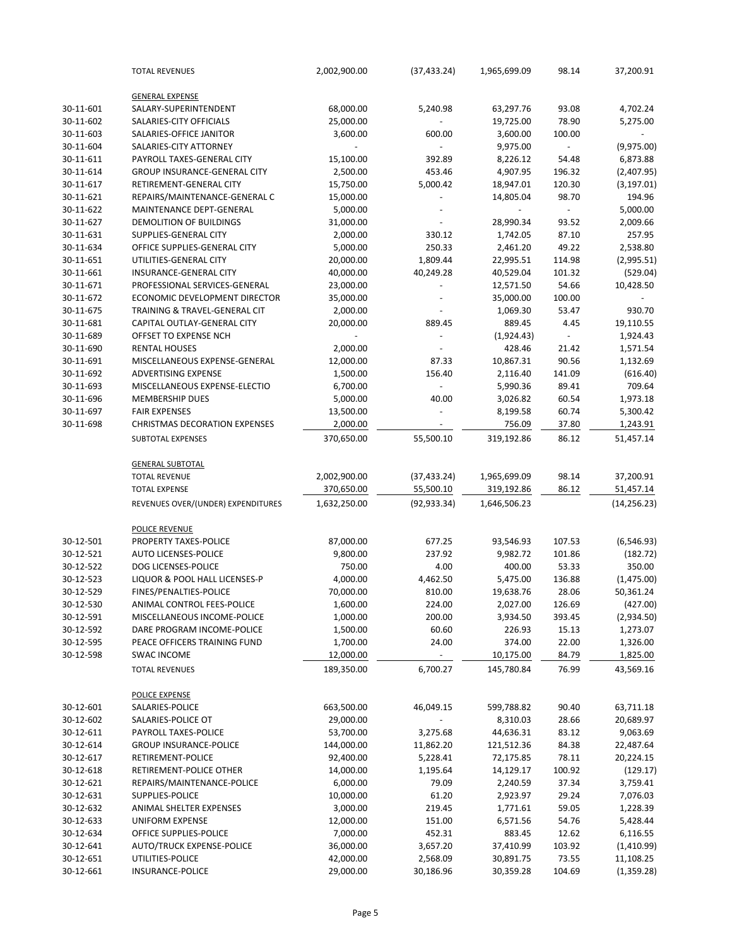|           | <b>TOTAL REVENUES</b>                   | 2,002,900.00 | (37, 433.24) | 1,965,699.09 | 98.14  | 37,200.91    |
|-----------|-----------------------------------------|--------------|--------------|--------------|--------|--------------|
|           | <b>GENERAL EXPENSE</b>                  |              |              |              |        |              |
| 30-11-601 | SALARY-SUPERINTENDENT                   | 68,000.00    | 5,240.98     | 63,297.76    | 93.08  | 4,702.24     |
| 30-11-602 | SALARIES-CITY OFFICIALS                 | 25,000.00    |              | 19,725.00    | 78.90  | 5,275.00     |
| 30-11-603 | SALARIES-OFFICE JANITOR                 | 3,600.00     | 600.00       | 3,600.00     | 100.00 |              |
| 30-11-604 | SALARIES-CITY ATTORNEY                  |              |              | 9,975.00     |        | (9,975.00)   |
| 30-11-611 | PAYROLL TAXES-GENERAL CITY              | 15,100.00    | 392.89       | 8,226.12     | 54.48  | 6,873.88     |
| 30-11-614 | <b>GROUP INSURANCE-GENERAL CITY</b>     | 2,500.00     | 453.46       | 4,907.95     | 196.32 | (2,407.95)   |
| 30-11-617 | RETIREMENT-GENERAL CITY                 | 15,750.00    | 5,000.42     | 18,947.01    | 120.30 | (3, 197.01)  |
| 30-11-621 | REPAIRS/MAINTENANCE-GENERAL C           | 15,000.00    |              | 14,805.04    | 98.70  | 194.96       |
| 30-11-622 | MAINTENANCE DEPT-GENERAL                | 5,000.00     |              |              |        | 5,000.00     |
| 30-11-627 | DEMOLITION OF BUILDINGS                 | 31,000.00    |              | 28,990.34    | 93.52  | 2,009.66     |
| 30-11-631 | SUPPLIES-GENERAL CITY                   | 2,000.00     | 330.12       | 1,742.05     | 87.10  | 257.95       |
| 30-11-634 | OFFICE SUPPLIES-GENERAL CITY            | 5,000.00     | 250.33       | 2,461.20     | 49.22  | 2,538.80     |
| 30-11-651 | UTILITIES-GENERAL CITY                  | 20,000.00    | 1,809.44     | 22,995.51    | 114.98 | (2,995.51)   |
| 30-11-661 | <b>INSURANCE-GENERAL CITY</b>           | 40,000.00    | 40,249.28    | 40,529.04    | 101.32 | (529.04)     |
| 30-11-671 | PROFESSIONAL SERVICES-GENERAL           | 23,000.00    |              | 12,571.50    | 54.66  | 10,428.50    |
|           | ECONOMIC DEVELOPMENT DIRECTOR           |              |              |              |        |              |
| 30-11-672 |                                         | 35,000.00    |              | 35,000.00    | 100.00 |              |
| 30-11-675 | TRAINING & TRAVEL-GENERAL CIT           | 2,000.00     |              | 1,069.30     | 53.47  | 930.70       |
| 30-11-681 | CAPITAL OUTLAY-GENERAL CITY             | 20,000.00    | 889.45       | 889.45       | 4.45   | 19,110.55    |
| 30-11-689 | OFFSET TO EXPENSE NCH                   |              |              | (1,924.43)   |        | 1,924.43     |
| 30-11-690 | <b>RENTAL HOUSES</b>                    | 2,000.00     |              | 428.46       | 21.42  | 1,571.54     |
| 30-11-691 | MISCELLANEOUS EXPENSE-GENERAL           | 12,000.00    | 87.33        | 10,867.31    | 90.56  | 1,132.69     |
| 30-11-692 | ADVERTISING EXPENSE                     | 1,500.00     | 156.40       | 2,116.40     | 141.09 | (616.40)     |
| 30-11-693 | MISCELLANEOUS EXPENSE-ELECTIO           | 6,700.00     | $\sim$       | 5,990.36     | 89.41  | 709.64       |
| 30-11-696 | <b>MEMBERSHIP DUES</b>                  | 5,000.00     | 40.00        | 3,026.82     | 60.54  | 1,973.18     |
| 30-11-697 | <b>FAIR EXPENSES</b>                    | 13,500.00    |              | 8,199.58     | 60.74  | 5,300.42     |
| 30-11-698 | <b>CHRISTMAS DECORATION EXPENSES</b>    | 2,000.00     |              | 756.09       | 37.80  | 1,243.91     |
|           | SUBTOTAL EXPENSES                       | 370,650.00   | 55,500.10    | 319,192.86   | 86.12  | 51,457.14    |
|           | <b>GENERAL SUBTOTAL</b>                 |              |              |              |        |              |
|           | <b>TOTAL REVENUE</b>                    | 2,002,900.00 | (37, 433.24) | 1,965,699.09 | 98.14  | 37,200.91    |
|           | <b>TOTAL EXPENSE</b>                    | 370,650.00   | 55,500.10    | 319,192.86   | 86.12  | 51,457.14    |
|           | REVENUES OVER/(UNDER) EXPENDITURES      | 1,632,250.00 | (92, 933.34) | 1,646,506.23 |        | (14, 256.23) |
|           |                                         |              |              |              |        |              |
|           | POLICE REVENUE<br>PROPERTY TAXES-POLICE |              |              |              |        |              |
| 30-12-501 |                                         | 87,000.00    | 677.25       | 93,546.93    | 107.53 | (6, 546.93)  |
| 30-12-521 | <b>AUTO LICENSES-POLICE</b>             | 9,800.00     | 237.92       | 9,982.72     | 101.86 | (182.72)     |
| 30-12-522 | DOG LICENSES-POLICE                     | 750.00       | 4.00         | 400.00       | 53.33  | 350.00       |
| 30-12-523 | LIQUOR & POOL HALL LICENSES-P           | 4,000.00     | 4,462.50     | 5,475.00     | 136.88 | (1,475.00)   |
| 30-12-529 | FINES/PENALTIES-POLICE                  | 70,000.00    | 810.00       | 19,638.76    | 28.06  | 50,361.24    |
| 30-12-530 | ANIMAL CONTROL FEES-POLICE              | 1,600.00     | 224.00       | 2,027.00     | 126.69 | (427.00)     |
| 30-12-591 | MISCELLANEOUS INCOME-POLICE             | 1,000.00     | 200.00       | 3,934.50     | 393.45 | (2,934.50)   |
| 30-12-592 | DARE PROGRAM INCOME-POLICE              | 1,500.00     | 60.60        | 226.93       | 15.13  | 1,273.07     |
| 30-12-595 | PEACE OFFICERS TRAINING FUND            | 1,700.00     | 24.00        | 374.00       | 22.00  | 1,326.00     |
| 30-12-598 | <b>SWAC INCOME</b>                      | 12,000.00    |              | 10,175.00    | 84.79  | 1,825.00     |
|           | <b>TOTAL REVENUES</b>                   | 189,350.00   | 6,700.27     | 145,780.84   | 76.99  | 43,569.16    |
|           | <b>POLICE EXPENSE</b>                   |              |              |              |        |              |
| 30-12-601 | SALARIES-POLICE                         | 663,500.00   | 46,049.15    | 599,788.82   | 90.40  | 63,711.18    |
| 30-12-602 | SALARIES-POLICE OT                      | 29,000.00    |              | 8,310.03     | 28.66  | 20,689.97    |
| 30-12-611 | PAYROLL TAXES-POLICE                    | 53,700.00    | 3,275.68     | 44,636.31    | 83.12  | 9,063.69     |
| 30-12-614 | <b>GROUP INSURANCE-POLICE</b>           | 144,000.00   | 11,862.20    | 121,512.36   | 84.38  | 22,487.64    |
| 30-12-617 | RETIREMENT-POLICE                       | 92,400.00    | 5,228.41     | 72,175.85    | 78.11  | 20,224.15    |
| 30-12-618 | RETIREMENT-POLICE OTHER                 | 14,000.00    | 1,195.64     | 14,129.17    | 100.92 | (129.17)     |
| 30-12-621 | REPAIRS/MAINTENANCE-POLICE              | 6,000.00     | 79.09        | 2,240.59     | 37.34  | 3,759.41     |
| 30-12-631 | SUPPLIES-POLICE                         | 10,000.00    | 61.20        | 2,923.97     | 29.24  | 7,076.03     |
| 30-12-632 | ANIMAL SHELTER EXPENSES                 | 3,000.00     | 219.45       | 1,771.61     | 59.05  | 1,228.39     |
| 30-12-633 | <b>UNIFORM EXPENSE</b>                  | 12,000.00    | 151.00       | 6,571.56     | 54.76  | 5,428.44     |
| 30-12-634 | OFFICE SUPPLIES-POLICE                  | 7,000.00     | 452.31       | 883.45       | 12.62  | 6,116.55     |
|           |                                         |              |              |              |        |              |
| 30-12-641 | <b>AUTO/TRUCK EXPENSE-POLICE</b>        | 36,000.00    | 3,657.20     | 37,410.99    | 103.92 | (1,410.99)   |
| 30-12-651 | UTILITIES-POLICE                        | 42,000.00    | 2,568.09     | 30,891.75    | 73.55  | 11,108.25    |
| 30-12-661 | <b>INSURANCE-POLICE</b>                 | 29,000.00    | 30,186.96    | 30,359.28    | 104.69 | (1,359.28)   |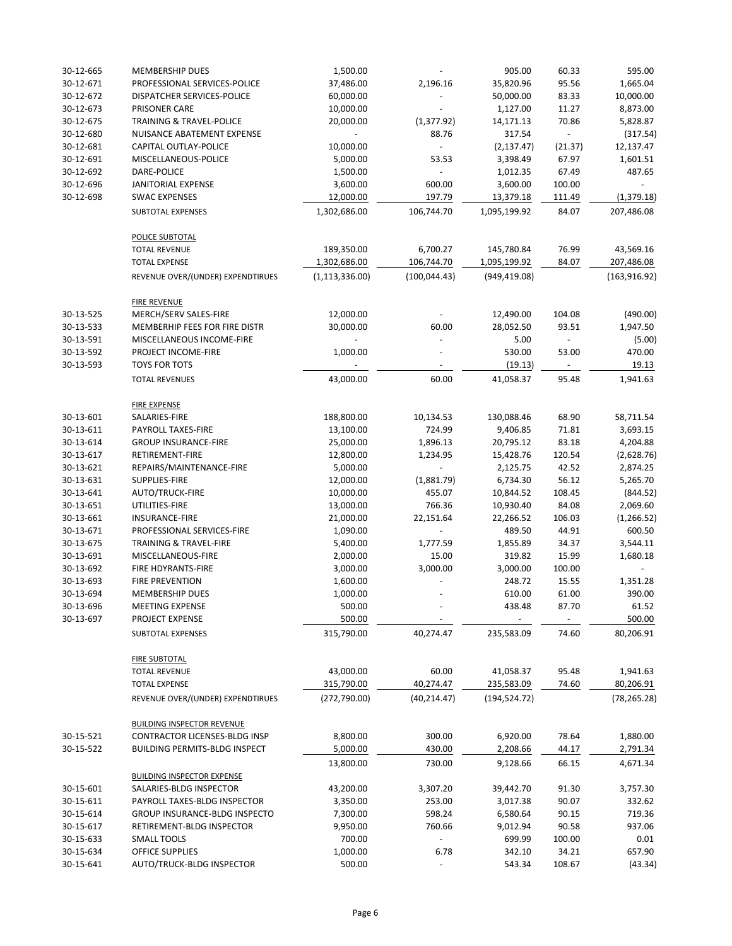| 30-12-665 | <b>MEMBERSHIP DUES</b>                                    | 1,500.00                    |                           | 905.00                      | 60.33           | 595.00                    |
|-----------|-----------------------------------------------------------|-----------------------------|---------------------------|-----------------------------|-----------------|---------------------------|
| 30-12-671 | PROFESSIONAL SERVICES-POLICE                              | 37,486.00                   | 2,196.16                  | 35,820.96                   | 95.56           | 1,665.04                  |
| 30-12-672 | DISPATCHER SERVICES-POLICE                                | 60,000.00                   |                           | 50,000.00                   | 83.33           | 10,000.00                 |
| 30-12-673 | PRISONER CARE                                             | 10,000.00                   |                           | 1,127.00                    | 11.27           | 8,873.00                  |
| 30-12-675 | <b>TRAINING &amp; TRAVEL-POLICE</b>                       | 20,000.00                   | (1, 377.92)               | 14,171.13                   | 70.86           | 5,828.87                  |
| 30-12-680 | NUISANCE ABATEMENT EXPENSE                                | $\overline{\phantom{a}}$    | 88.76                     | 317.54                      |                 | (317.54)                  |
| 30-12-681 | CAPITAL OUTLAY-POLICE                                     | 10,000.00                   |                           | (2, 137.47)                 | (21.37)         | 12,137.47                 |
| 30-12-691 | MISCELLANEOUS-POLICE                                      | 5,000.00                    | 53.53                     | 3,398.49                    | 67.97           | 1,601.51                  |
| 30-12-692 | DARE-POLICE                                               | 1,500.00                    |                           | 1,012.35                    | 67.49           | 487.65                    |
| 30-12-696 | JANITORIAL EXPENSE                                        | 3,600.00                    | 600.00                    | 3,600.00                    | 100.00          |                           |
| 30-12-698 | <b>SWAC EXPENSES</b>                                      | 12,000.00                   | 197.79                    | 13,379.18                   | 111.49          | (1,379.18)                |
|           | SUBTOTAL EXPENSES                                         | 1,302,686.00                | 106,744.70                | 1,095,199.92                | 84.07           | 207,486.08                |
|           | <b>POLICE SUBTOTAL</b>                                    |                             |                           |                             |                 |                           |
|           | <b>TOTAL REVENUE</b>                                      | 189,350.00                  | 6,700.27                  | 145,780.84                  | 76.99           | 43,569.16                 |
|           | <b>TOTAL EXPENSE</b>                                      | 1,302,686.00                | 106,744.70                | 1,095,199.92                | 84.07           | 207,486.08                |
|           | REVENUE OVER/(UNDER) EXPENDTIRUES                         | (1, 113, 336.00)            | (100, 044.43)             | (949, 419.08)               |                 | (163, 916.92)             |
|           | <b>FIRE REVENUE</b>                                       |                             |                           |                             |                 |                           |
| 30-13-525 | MERCH/SERV SALES-FIRE                                     | 12,000.00                   |                           | 12,490.00                   | 104.08          | (490.00)                  |
| 30-13-533 | MEMBERHIP FEES FOR FIRE DISTR                             | 30,000.00                   | 60.00                     | 28,052.50                   | 93.51           | 1,947.50                  |
| 30-13-591 | MISCELLANEOUS INCOME-FIRE                                 |                             |                           | 5.00                        |                 | (5.00)                    |
| 30-13-592 | PROJECT INCOME-FIRE                                       | 1,000.00                    |                           | 530.00                      | 53.00           | 470.00                    |
| 30-13-593 | <b>TOYS FOR TOTS</b><br><b>TOTAL REVENUES</b>             | 43,000.00                   | 60.00                     | (19.13)<br>41,058.37        | $\sim$<br>95.48 | 19.13<br>1,941.63         |
|           |                                                           |                             |                           |                             |                 |                           |
|           | <b>FIRE EXPENSE</b>                                       |                             |                           |                             |                 |                           |
| 30-13-601 | SALARIES-FIRE                                             | 188,800.00                  | 10,134.53                 | 130,088.46                  | 68.90           | 58,711.54                 |
| 30-13-611 | PAYROLL TAXES-FIRE                                        | 13,100.00                   | 724.99                    | 9,406.85                    | 71.81           | 3,693.15                  |
| 30-13-614 | <b>GROUP INSURANCE-FIRE</b>                               | 25,000.00                   | 1,896.13                  | 20,795.12                   | 83.18           | 4,204.88                  |
| 30-13-617 | RETIREMENT-FIRE                                           | 12,800.00                   | 1,234.95                  | 15,428.76                   | 120.54          | (2,628.76)                |
| 30-13-621 | REPAIRS/MAINTENANCE-FIRE                                  | 5,000.00                    |                           | 2,125.75                    | 42.52           | 2,874.25                  |
| 30-13-631 | SUPPLIES-FIRE                                             | 12,000.00                   | (1,881.79)                | 6,734.30                    | 56.12           | 5,265.70                  |
| 30-13-641 | AUTO/TRUCK-FIRE                                           | 10,000.00                   | 455.07                    | 10,844.52                   | 108.45          | (844.52)                  |
| 30-13-651 | UTILITIES-FIRE                                            | 13,000.00                   | 766.36                    | 10,930.40                   | 84.08           | 2,069.60                  |
| 30-13-661 | <b>INSURANCE-FIRE</b>                                     | 21,000.00                   | 22,151.64                 | 22,266.52                   | 106.03          | (1, 266.52)               |
| 30-13-671 | PROFESSIONAL SERVICES-FIRE                                | 1,090.00                    |                           | 489.50                      | 44.91           | 600.50                    |
| 30-13-675 | <b>TRAINING &amp; TRAVEL-FIRE</b>                         | 5,400.00                    | 1,777.59                  | 1,855.89                    | 34.37           | 3,544.11                  |
| 30-13-691 | MISCELLANEOUS-FIRE                                        | 2,000.00                    | 15.00                     | 319.82                      | 15.99           | 1,680.18                  |
| 30-13-692 | FIRE HDYRANTS-FIRE                                        | 3,000.00                    | 3,000.00                  | 3,000.00                    | 100.00          |                           |
| 30-13-693 | <b>FIRE PREVENTION</b>                                    | 1,600.00                    |                           | 248.72                      | 15.55           | 1,351.28                  |
| 30-13-694 | <b>MEMBERSHIP DUES</b>                                    | 1,000.00                    |                           | 610.00                      | 61.00           | 390.00                    |
| 30-13-696 | <b>MEETING EXPENSE</b>                                    | 500.00                      |                           | 438.48                      | 87.70           | 61.52                     |
| 30-13-697 | PROJECT EXPENSE<br>SUBTOTAL EXPENSES                      | 500.00<br>315,790.00        | 40,274.47                 | 235,583.09                  | $\sim$<br>74.60 | 500.00<br>80,206.91       |
|           |                                                           |                             |                           |                             |                 |                           |
|           | <b>FIRE SUBTOTAL</b>                                      |                             |                           |                             |                 |                           |
|           | <b>TOTAL REVENUE</b>                                      | 43,000.00                   | 60.00                     | 41,058.37                   | 95.48           | 1,941.63                  |
|           | <b>TOTAL EXPENSE</b><br>REVENUE OVER/(UNDER) EXPENDTIRUES | 315,790.00<br>(272, 790.00) | 40,274.47<br>(40, 214.47) | 235,583.09<br>(194, 524.72) | 74.60           | 80,206.91<br>(78, 265.28) |
|           |                                                           |                             |                           |                             |                 |                           |
|           | <b>BUILDING INSPECTOR REVENUE</b>                         |                             |                           |                             |                 |                           |
| 30-15-521 | <b>CONTRACTOR LICENSES-BLDG INSP</b>                      | 8,800.00                    | 300.00                    | 6,920.00                    | 78.64           | 1,880.00                  |
| 30-15-522 | <b>BUILDING PERMITS-BLDG INSPECT</b>                      | 5,000.00                    | 430.00                    | 2,208.66                    | 44.17           | 2,791.34                  |
|           | <b>BUILDING INSPECTOR EXPENSE</b>                         | 13,800.00                   | 730.00                    | 9,128.66                    | 66.15           | 4,671.34                  |
| 30-15-601 | SALARIES-BLDG INSPECTOR                                   | 43,200.00                   | 3,307.20                  | 39,442.70                   | 91.30           | 3,757.30                  |
| 30-15-611 | PAYROLL TAXES-BLDG INSPECTOR                              | 3,350.00                    | 253.00                    | 3,017.38                    | 90.07           | 332.62                    |
| 30-15-614 | GROUP INSURANCE-BLDG INSPECTO                             | 7,300.00                    | 598.24                    | 6,580.64                    | 90.15           | 719.36                    |
| 30-15-617 | RETIREMENT-BLDG INSPECTOR                                 | 9,950.00                    | 760.66                    | 9,012.94                    | 90.58           | 937.06                    |
| 30-15-633 | <b>SMALL TOOLS</b>                                        | 700.00                      |                           | 699.99                      | 100.00          | 0.01                      |
| 30-15-634 | <b>OFFICE SUPPLIES</b>                                    | 1,000.00                    | 6.78                      | 342.10                      | 34.21           | 657.90                    |
| 30-15-641 | AUTO/TRUCK-BLDG INSPECTOR                                 | 500.00                      |                           | 543.34                      | 108.67          | (43.34)                   |
|           |                                                           |                             |                           |                             |                 |                           |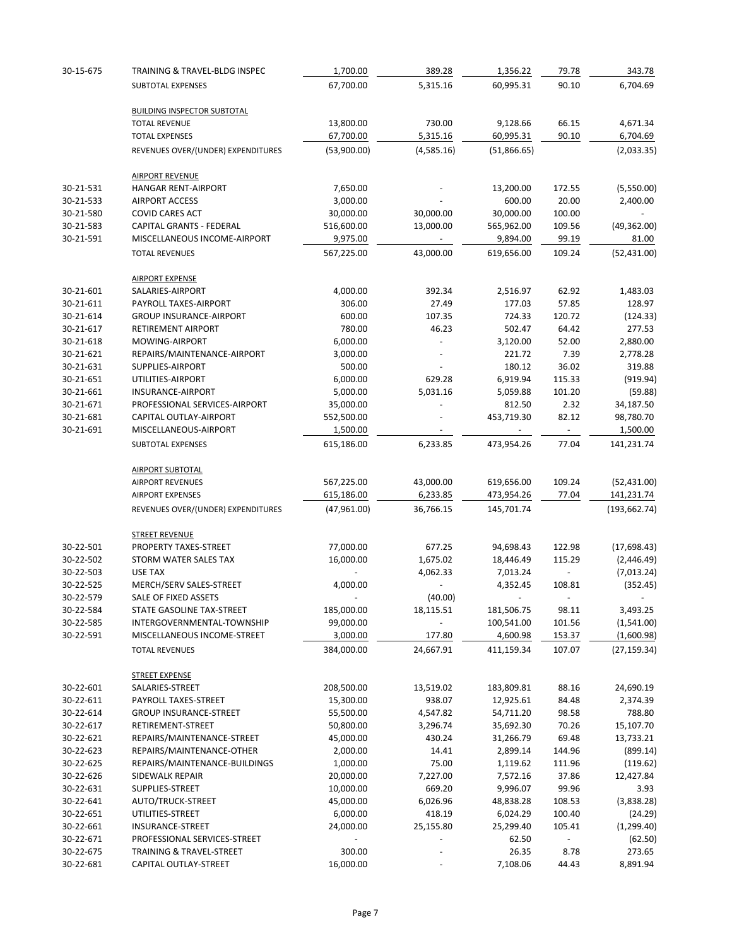| 30-15-675 | TRAINING & TRAVEL-BLDG INSPEC                        | 1,700.00               | 389.28                   | 1,356.22               | 79.78            | 343.78                     |
|-----------|------------------------------------------------------|------------------------|--------------------------|------------------------|------------------|----------------------------|
|           | SUBTOTAL EXPENSES                                    | 67,700.00              | 5,315.16                 | 60,995.31              | 90.10            | 6,704.69                   |
|           | <b>BUILDING INSPECTOR SUBTOTAL</b>                   |                        |                          |                        |                  |                            |
|           | <b>TOTAL REVENUE</b>                                 | 13,800.00              | 730.00                   | 9,128.66               | 66.15            | 4,671.34                   |
|           | <b>TOTAL EXPENSES</b>                                | 67,700.00              | 5,315.16                 | 60,995.31              | 90.10            | 6,704.69                   |
|           | REVENUES OVER/(UNDER) EXPENDITURES                   | (53,900.00)            | (4,585.16)               | (51,866.65)            |                  | (2,033.35)                 |
|           | <b>AIRPORT REVENUE</b>                               |                        |                          |                        |                  |                            |
| 30-21-531 | <b>HANGAR RENT-AIRPORT</b>                           | 7,650.00               |                          | 13,200.00              | 172.55           | (5,550.00)                 |
| 30-21-533 | <b>AIRPORT ACCESS</b>                                | 3,000.00               |                          | 600.00                 | 20.00            | 2,400.00                   |
| 30-21-580 | <b>COVID CARES ACT</b>                               | 30,000.00              | 30,000.00                | 30,000.00              | 100.00           |                            |
| 30-21-583 | <b>CAPITAL GRANTS - FEDERAL</b>                      | 516,600.00             | 13,000.00                | 565,962.00             | 109.56           | (49, 362.00)               |
| 30-21-591 | MISCELLANEOUS INCOME-AIRPORT                         | 9,975.00               |                          | 9,894.00               | 99.19            | 81.00                      |
|           | <b>TOTAL REVENUES</b>                                | 567,225.00             | 43,000.00                | 619,656.00             | 109.24           | (52, 431.00)               |
|           | <b>AIRPORT EXPENSE</b>                               |                        |                          |                        |                  |                            |
| 30-21-601 | SALARIES-AIRPORT                                     | 4,000.00               | 392.34                   | 2,516.97               | 62.92            | 1,483.03                   |
| 30-21-611 | PAYROLL TAXES-AIRPORT                                | 306.00                 | 27.49                    | 177.03                 | 57.85            | 128.97                     |
| 30-21-614 | <b>GROUP INSURANCE-AIRPORT</b>                       | 600.00                 | 107.35                   | 724.33                 | 120.72           | (124.33)                   |
| 30-21-617 | RETIREMENT AIRPORT                                   | 780.00                 | 46.23                    | 502.47                 | 64.42            | 277.53                     |
| 30-21-618 | MOWING-AIRPORT                                       | 6,000.00               |                          | 3,120.00               | 52.00            | 2,880.00                   |
| 30-21-621 | REPAIRS/MAINTENANCE-AIRPORT                          | 3,000.00               |                          | 221.72                 | 7.39             | 2,778.28                   |
| 30-21-631 | SUPPLIES-AIRPORT                                     | 500.00                 |                          | 180.12                 | 36.02            | 319.88                     |
| 30-21-651 | UTILITIES-AIRPORT                                    | 6,000.00               | 629.28                   | 6,919.94               | 115.33           | (919.94)                   |
| 30-21-661 | INSURANCE-AIRPORT                                    | 5,000.00               | 5,031.16                 | 5,059.88               | 101.20           | (59.88)                    |
| 30-21-671 | PROFESSIONAL SERVICES-AIRPORT                        | 35,000.00              |                          | 812.50                 | 2.32             | 34,187.50                  |
| 30-21-681 | CAPITAL OUTLAY-AIRPORT                               | 552,500.00             |                          | 453,719.30             | 82.12            | 98,780.70                  |
| 30-21-691 | MISCELLANEOUS-AIRPORT<br>SUBTOTAL EXPENSES           | 1,500.00<br>615,186.00 | 6,233.85                 | 473,954.26             | 77.04            | 1,500.00<br>141,231.74     |
|           |                                                      |                        |                          |                        |                  |                            |
|           | <b>AIRPORT SUBTOTAL</b>                              |                        |                          |                        |                  |                            |
|           | <b>AIRPORT REVENUES</b>                              | 567,225.00             | 43,000.00                | 619,656.00             | 109.24           | (52, 431.00)               |
|           | <b>AIRPORT EXPENSES</b>                              | 615,186.00             | 6,233.85                 | 473,954.26             | 77.04            | 141,231.74                 |
|           | REVENUES OVER/(UNDER) EXPENDITURES                   | (47,961.00)            | 36,766.15                | 145,701.74             |                  | (193, 662.74)              |
|           | <b>STREET REVENUE</b>                                |                        |                          |                        |                  |                            |
| 30-22-501 | PROPERTY TAXES-STREET                                | 77,000.00              | 677.25                   | 94,698.43              | 122.98           | (17, 698.43)               |
| 30-22-502 | STORM WATER SALES TAX                                | 16,000.00              | 1,675.02                 | 18,446.49              | 115.29           | (2,446.49)                 |
| 30-22-503 | <b>USE TAX</b>                                       |                        | 4,062.33                 | 7,013.24               |                  | (7,013.24)                 |
| 30-22-525 | MERCH/SERV SALES-STREET                              | 4,000.00               |                          | 4,352.45               | 108.81           | (352.45)                   |
| 30-22-579 | SALE OF FIXED ASSETS                                 |                        | (40.00)                  |                        |                  |                            |
| 30-22-584 | STATE GASOLINE TAX-STREET                            | 185,000.00             | 18,115.51                | 181,506.75             | 98.11            | 3,493.25                   |
| 30-22-585 | INTERGOVERNMENTAL-TOWNSHIP                           | 99,000.00              |                          | 100,541.00             | 101.56           | (1,541.00)                 |
| 30-22-591 | MISCELLANEOUS INCOME-STREET<br><b>TOTAL REVENUES</b> | 3,000.00<br>384,000.00 | 177.80<br>24,667.91      | 4,600.98<br>411,159.34 | 153.37<br>107.07 | (1,600.98)<br>(27, 159.34) |
|           |                                                      |                        |                          |                        |                  |                            |
| 30-22-601 | <b>STREET EXPENSE</b><br>SALARIES-STREET             | 208,500.00             | 13,519.02                | 183,809.81             | 88.16            | 24,690.19                  |
| 30-22-611 | PAYROLL TAXES-STREET                                 | 15,300.00              | 938.07                   | 12,925.61              | 84.48            | 2,374.39                   |
| 30-22-614 | <b>GROUP INSURANCE-STREET</b>                        | 55,500.00              | 4,547.82                 | 54,711.20              | 98.58            | 788.80                     |
| 30-22-617 | RETIREMENT-STREET                                    | 50,800.00              | 3,296.74                 | 35,692.30              | 70.26            | 15,107.70                  |
| 30-22-621 | REPAIRS/MAINTENANCE-STREET                           | 45,000.00              | 430.24                   | 31,266.79              | 69.48            | 13,733.21                  |
| 30-22-623 | REPAIRS/MAINTENANCE-OTHER                            | 2,000.00               | 14.41                    | 2,899.14               | 144.96           | (899.14)                   |
| 30-22-625 | REPAIRS/MAINTENANCE-BUILDINGS                        | 1,000.00               | 75.00                    | 1,119.62               | 111.96           | (119.62)                   |
| 30-22-626 | SIDEWALK REPAIR                                      | 20,000.00              | 7,227.00                 | 7,572.16               | 37.86            | 12,427.84                  |
| 30-22-631 | SUPPLIES-STREET                                      | 10,000.00              | 669.20                   | 9,996.07               | 99.96            | 3.93                       |
| 30-22-641 | AUTO/TRUCK-STREET                                    | 45,000.00              | 6,026.96                 | 48,838.28              | 108.53           | (3,838.28)                 |
| 30-22-651 | UTILITIES-STREET                                     | 6,000.00               | 418.19                   | 6,024.29               | 100.40           | (24.29)                    |
| 30-22-661 | INSURANCE-STREET                                     | 24,000.00              | 25,155.80                | 25,299.40              | 105.41           | (1, 299.40)                |
| 30-22-671 | PROFESSIONAL SERVICES-STREET                         |                        |                          | 62.50                  |                  | (62.50)                    |
| 30-22-675 | <b>TRAINING &amp; TRAVEL-STREET</b>                  | 300.00                 | $\overline{\phantom{a}}$ | 26.35                  | 8.78             | 273.65                     |
| 30-22-681 | CAPITAL OUTLAY-STREET                                | 16,000.00              | $\overline{\phantom{a}}$ | 7,108.06               | 44.43            | 8,891.94                   |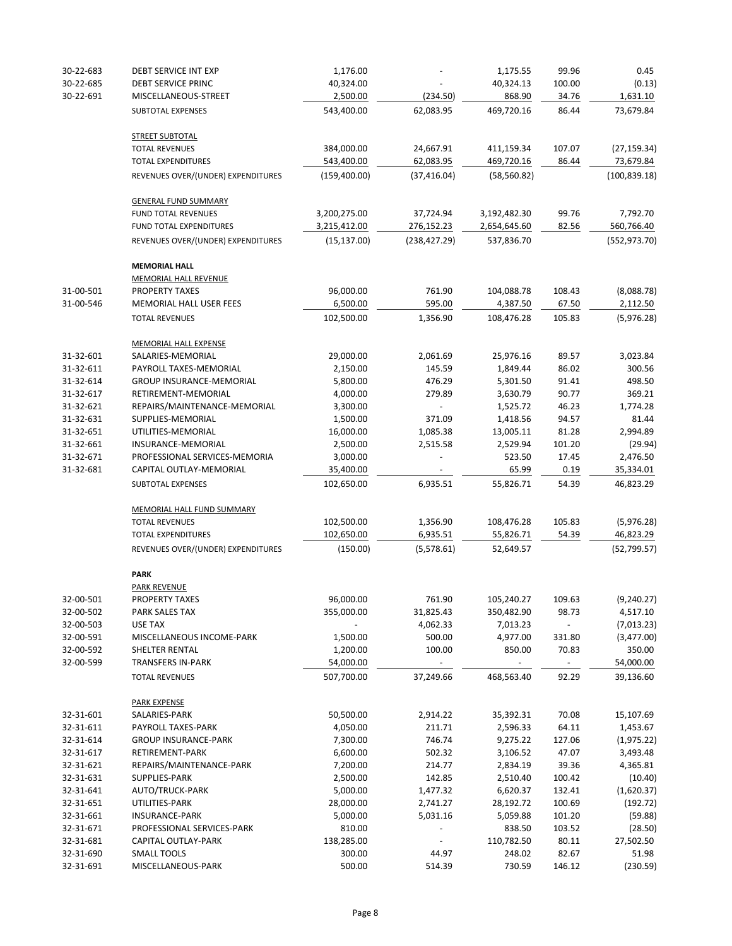| 30-22-683 | DEBT SERVICE INT EXP                                            | 1,176.00                |                        | 1,175.55                               | 99.96           | 0.45                      |
|-----------|-----------------------------------------------------------------|-------------------------|------------------------|----------------------------------------|-----------------|---------------------------|
| 30-22-685 | DEBT SERVICE PRINC                                              | 40,324.00               |                        | 40,324.13                              | 100.00          | (0.13)                    |
| 30-22-691 | MISCELLANEOUS-STREET                                            | 2,500.00                | (234.50)               | 868.90                                 | 34.76           | 1,631.10                  |
|           | SUBTOTAL EXPENSES                                               | 543,400.00              | 62,083.95              | 469,720.16                             | 86.44           | 73,679.84                 |
|           | <b>STREET SUBTOTAL</b>                                          |                         |                        |                                        |                 |                           |
|           | <b>TOTAL REVENUES</b>                                           | 384,000.00              | 24,667.91              | 411,159.34                             | 107.07          | (27, 159.34)              |
|           | <b>TOTAL EXPENDITURES</b>                                       | 543,400.00              | 62,083.95              | 469,720.16                             | 86.44           | 73,679.84                 |
|           | REVENUES OVER/(UNDER) EXPENDITURES                              | (159, 400.00)           | (37, 416.04)           | (58, 560.82)                           |                 | (100, 839.18)             |
|           | <b>GENERAL FUND SUMMARY</b>                                     |                         |                        |                                        |                 |                           |
|           | FUND TOTAL REVENUES                                             | 3,200,275.00            | 37,724.94              | 3,192,482.30                           | 99.76           | 7,792.70                  |
|           | FUND TOTAL EXPENDITURES                                         | 3,215,412.00            | 276,152.23             | 2,654,645.60                           | 82.56           | 560,766.40                |
|           | REVENUES OVER/(UNDER) EXPENDITURES                              | (15, 137.00)            | (238, 427.29)          | 537,836.70                             |                 | (552, 973.70)             |
|           | <b>MEMORIAL HALL</b>                                            |                         |                        |                                        |                 |                           |
|           | <b>MEMORIAL HALL REVENUE</b>                                    |                         |                        |                                        |                 |                           |
| 31-00-501 | <b>PROPERTY TAXES</b>                                           | 96,000.00               | 761.90                 | 104,088.78                             | 108.43          | (8,088.78)                |
| 31-00-546 | MEMORIAL HALL USER FEES                                         | 6,500.00                | 595.00                 | 4,387.50                               | 67.50           | 2,112.50                  |
|           | <b>TOTAL REVENUES</b>                                           | 102,500.00              | 1,356.90               | 108,476.28                             | 105.83          | (5,976.28)                |
|           | <b>MEMORIAL HALL EXPENSE</b>                                    |                         |                        |                                        |                 |                           |
| 31-32-601 | SALARIES-MEMORIAL                                               | 29,000.00               | 2,061.69               | 25,976.16                              | 89.57           | 3,023.84                  |
| 31-32-611 | PAYROLL TAXES-MEMORIAL                                          | 2,150.00                | 145.59                 | 1,849.44                               | 86.02           | 300.56                    |
| 31-32-614 | <b>GROUP INSURANCE-MEMORIAL</b>                                 | 5,800.00                | 476.29                 | 5,301.50                               | 91.41           | 498.50                    |
| 31-32-617 | RETIREMENT-MEMORIAL                                             | 4,000.00                | 279.89                 | 3,630.79                               | 90.77           | 369.21                    |
| 31-32-621 | REPAIRS/MAINTENANCE-MEMORIAL                                    | 3,300.00                |                        | 1,525.72                               | 46.23           | 1,774.28                  |
| 31-32-631 | SUPPLIES-MEMORIAL                                               | 1,500.00                | 371.09                 | 1,418.56                               | 94.57           | 81.44                     |
| 31-32-651 | UTILITIES-MEMORIAL                                              | 16,000.00               | 1,085.38               | 13,005.11                              | 81.28           | 2,994.89                  |
| 31-32-661 | INSURANCE-MEMORIAL                                              | 2,500.00                |                        |                                        |                 |                           |
|           |                                                                 |                         | 2,515.58               | 2,529.94                               | 101.20          | (29.94)                   |
| 31-32-671 | PROFESSIONAL SERVICES-MEMORIA                                   | 3,000.00                |                        | 523.50                                 | 17.45           | 2,476.50                  |
| 31-32-681 | CAPITAL OUTLAY-MEMORIAL<br>SUBTOTAL EXPENSES                    | 35,400.00<br>102,650.00 | 6,935.51               | 65.99<br>55,826.71                     | 0.19<br>54.39   | 35,334.01<br>46,823.29    |
|           |                                                                 |                         |                        |                                        |                 |                           |
|           | MEMORIAL HALL FUND SUMMARY                                      |                         |                        |                                        |                 |                           |
|           | <b>TOTAL REVENUES</b>                                           | 102,500.00              | 1,356.90               | 108,476.28                             | 105.83          | (5,976.28)                |
|           | <b>TOTAL EXPENDITURES</b><br>REVENUES OVER/(UNDER) EXPENDITURES | 102,650.00<br>(150.00)  | 6,935.51<br>(5,578.61) | 55,826.71<br>52,649.57                 | 54.39           | 46,823.29<br>(52, 799.57) |
|           |                                                                 |                         |                        |                                        |                 |                           |
|           | <b>PARK</b><br><b>PARK REVENUE</b>                              |                         |                        |                                        |                 |                           |
| 32-00-501 | PROPERTY TAXES                                                  | 96,000.00               | 761.90                 | 105,240.27                             | 109.63          |                           |
| 32-00-502 | PARK SALES TAX                                                  | 355,000.00              | 31,825.43              |                                        | 98.73           | (9, 240.27)<br>4,517.10   |
|           |                                                                 |                         |                        | 350,482.90                             |                 |                           |
| 32-00-503 | <b>USE TAX</b>                                                  |                         | 4,062.33               | 7,013.23                               |                 | (7,013.23)                |
| 32-00-591 | MISCELLANEOUS INCOME-PARK                                       | 1,500.00                | 500.00                 | 4,977.00                               | 331.80          | (3,477.00)                |
| 32-00-592 | SHELTER RENTAL                                                  | 1,200.00                | 100.00                 | 850.00                                 | 70.83           | 350.00                    |
| 32-00-599 | <b>TRANSFERS IN-PARK</b><br><b>TOTAL REVENUES</b>               | 54,000.00<br>507,700.00 | $\sim$<br>37,249.66    | $\overline{\phantom{a}}$<br>468,563.40 | $\sim$<br>92.29 | 54,000.00<br>39,136.60    |
|           |                                                                 |                         |                        |                                        |                 |                           |
|           | <b>PARK EXPENSE</b>                                             |                         |                        |                                        |                 |                           |
| 32-31-601 | SALARIES-PARK                                                   | 50,500.00               | 2,914.22               | 35,392.31                              | 70.08           | 15,107.69                 |
| 32-31-611 | PAYROLL TAXES-PARK                                              | 4,050.00                | 211.71                 | 2,596.33                               | 64.11           | 1,453.67                  |
| 32-31-614 | <b>GROUP INSURANCE-PARK</b>                                     | 7,300.00                | 746.74                 | 9,275.22                               | 127.06          | (1,975.22)                |
| 32-31-617 | RETIREMENT-PARK                                                 | 6,600.00                | 502.32                 | 3,106.52                               | 47.07           | 3,493.48                  |
| 32-31-621 | REPAIRS/MAINTENANCE-PARK                                        | 7,200.00                | 214.77                 | 2,834.19                               | 39.36           | 4,365.81                  |
| 32-31-631 | SUPPLIES-PARK                                                   | 2,500.00                | 142.85                 | 2,510.40                               | 100.42          | (10.40)                   |
| 32-31-641 | AUTO/TRUCK-PARK                                                 | 5,000.00                | 1,477.32               | 6,620.37                               | 132.41          | (1,620.37)                |
| 32-31-651 | UTILITIES-PARK                                                  | 28,000.00               | 2,741.27               | 28,192.72                              | 100.69          | (192.72)                  |
| 32-31-661 | <b>INSURANCE-PARK</b>                                           | 5,000.00                | 5,031.16               | 5,059.88                               | 101.20          | (59.88)                   |
| 32-31-671 | PROFESSIONAL SERVICES-PARK                                      | 810.00                  |                        | 838.50                                 | 103.52          | (28.50)                   |
| 32-31-681 | CAPITAL OUTLAY-PARK                                             | 138,285.00              |                        | 110,782.50                             | 80.11           | 27,502.50                 |
| 32-31-690 | <b>SMALL TOOLS</b>                                              | 300.00                  | 44.97                  | 248.02                                 | 82.67           | 51.98                     |
| 32-31-691 | MISCELLANEOUS-PARK                                              | 500.00                  | 514.39                 | 730.59                                 | 146.12          | (230.59)                  |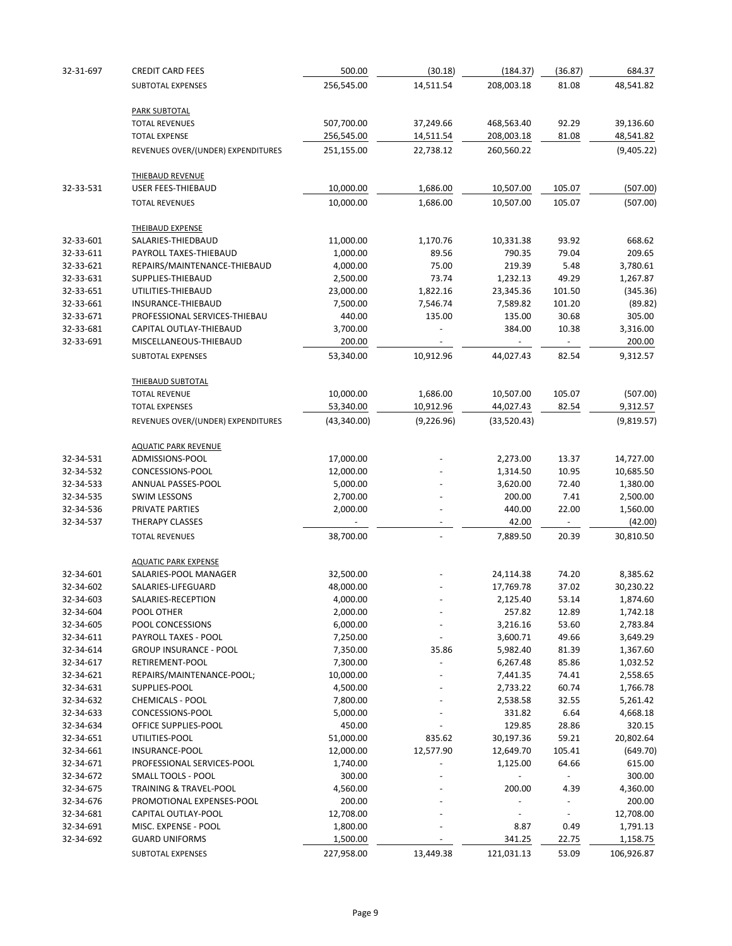| 32-31-697              | <b>CREDIT CARD FEES</b>                          | 500.00                | (30.18)     | (184.37)                 | (36.87)        | 684.37               |
|------------------------|--------------------------------------------------|-----------------------|-------------|--------------------------|----------------|----------------------|
|                        | SUBTOTAL EXPENSES                                | 256,545.00            | 14,511.54   | 208,003.18               | 81.08          | 48,541.82            |
|                        |                                                  |                       |             |                          |                |                      |
|                        | <b>PARK SUBTOTAL</b><br><b>TOTAL REVENUES</b>    | 507,700.00            | 37,249.66   | 468,563.40               | 92.29          | 39,136.60            |
|                        | <b>TOTAL EXPENSE</b>                             | 256,545.00            | 14,511.54   | 208,003.18               | 81.08          | 48,541.82            |
|                        | REVENUES OVER/(UNDER) EXPENDITURES               | 251,155.00            | 22,738.12   | 260,560.22               |                | (9,405.22)           |
|                        |                                                  |                       |             |                          |                |                      |
|                        | <b>THIEBAUD REVENUE</b>                          |                       |             |                          |                |                      |
| 32-33-531              | <b>USER FEES-THIEBAUD</b>                        | 10,000.00             | 1,686.00    | 10,507.00                | 105.07         | (507.00)             |
|                        | <b>TOTAL REVENUES</b>                            | 10,000.00             | 1,686.00    | 10,507.00                | 105.07         | (507.00)             |
|                        | <b>THEIBAUD EXPENSE</b>                          |                       |             |                          |                |                      |
| 32-33-601              | SALARIES-THIEDBAUD                               | 11,000.00             | 1,170.76    | 10,331.38                | 93.92          | 668.62               |
| 32-33-611              | PAYROLL TAXES-THIEBAUD                           | 1,000.00              | 89.56       | 790.35                   | 79.04          | 209.65               |
| 32-33-621              | REPAIRS/MAINTENANCE-THIEBAUD                     | 4,000.00              | 75.00       | 219.39                   | 5.48           | 3,780.61             |
| 32-33-631              | SUPPLIES-THIEBAUD                                | 2,500.00              | 73.74       | 1,232.13                 | 49.29          | 1,267.87             |
| 32-33-651              | UTILITIES-THIEBAUD                               | 23,000.00             | 1,822.16    | 23,345.36                | 101.50         | (345.36)             |
| 32-33-661              | INSURANCE-THIEBAUD                               | 7,500.00              | 7,546.74    | 7,589.82                 | 101.20         | (89.82)              |
| 32-33-671              | PROFESSIONAL SERVICES-THIEBAU                    | 440.00                | 135.00      | 135.00                   | 30.68          | 305.00               |
| 32-33-681              | CAPITAL OUTLAY-THIEBAUD                          | 3,700.00              |             | 384.00                   | 10.38          | 3,316.00             |
| 32-33-691              | MISCELLANEOUS-THIEBAUD                           | 200.00                |             | $\overline{\phantom{a}}$ | $\sim$         | 200.00               |
|                        | SUBTOTAL EXPENSES                                | 53,340.00             | 10,912.96   | 44,027.43                | 82.54          | 9,312.57             |
|                        | <b>THIEBAUD SUBTOTAL</b>                         |                       |             |                          |                |                      |
|                        | <b>TOTAL REVENUE</b>                             | 10,000.00             | 1,686.00    | 10,507.00                | 105.07         | (507.00)             |
|                        | <b>TOTAL EXPENSES</b>                            | 53,340.00             | 10,912.96   | 44,027.43                | 82.54          | 9,312.57             |
|                        | REVENUES OVER/(UNDER) EXPENDITURES               | (43, 340.00)          | (9, 226.96) | (33,520.43)              |                | (9,819.57)           |
|                        |                                                  |                       |             |                          |                |                      |
| 32-34-531              | <b>AQUATIC PARK REVENUE</b><br>ADMISSIONS-POOL   | 17,000.00             |             | 2,273.00                 | 13.37          | 14,727.00            |
| 32-34-532              | CONCESSIONS-POOL                                 | 12,000.00             |             | 1,314.50                 | 10.95          | 10,685.50            |
| 32-34-533              | ANNUAL PASSES-POOL                               | 5,000.00              |             | 3,620.00                 | 72.40          | 1,380.00             |
| 32-34-535              | <b>SWIM LESSONS</b>                              | 2,700.00              |             | 200.00                   | 7.41           | 2,500.00             |
| 32-34-536              | PRIVATE PARTIES                                  | 2,000.00              |             | 440.00                   | 22.00          | 1,560.00             |
| 32-34-537              | THERAPY CLASSES                                  |                       |             | 42.00                    |                | (42.00)              |
|                        | <b>TOTAL REVENUES</b>                            | 38,700.00             |             | 7,889.50                 | 20.39          | 30,810.50            |
|                        |                                                  |                       |             |                          |                |                      |
|                        | <b>AQUATIC PARK EXPENSE</b>                      |                       |             |                          |                |                      |
| 32-34-601              | SALARIES-POOL MANAGER                            | 32,500.00             |             | 24,114.38                | 74.20          | 8,385.62             |
| 32-34-602              | SALARIES-LIFEGUARD                               | 48,000.00             |             | 17,769.78                | 37.02          | 30,230.22            |
| 32-34-603              | SALARIES-RECEPTION                               | 4,000.00              |             | 2,125.40                 | 53.14          | 1,874.60             |
| 32-34-604              | POOL OTHER                                       | 2,000.00              |             | 257.82                   | 12.89          | 1,742.18             |
| 32-34-605              | POOL CONCESSIONS<br>PAYROLL TAXES - POOL         | 6,000.00              |             | 3,216.16                 | 53.60          | 2,783.84             |
| 32-34-611              |                                                  | 7,250.00              |             | 3,600.71                 | 49.66          | 3,649.29             |
| 32-34-614              | <b>GROUP INSURANCE - POOL</b><br>RETIREMENT-POOL | 7,350.00              | 35.86       | 5,982.40                 | 81.39          | 1,367.60             |
| 32-34-617<br>32-34-621 |                                                  | 7,300.00              |             | 6,267.48                 | 85.86<br>74.41 | 1,032.52             |
| 32-34-631              | REPAIRS/MAINTENANCE-POOL;<br>SUPPLIES-POOL       | 10,000.00<br>4,500.00 |             | 7,441.35<br>2,733.22     | 60.74          | 2,558.65<br>1,766.78 |
| 32-34-632              | <b>CHEMICALS - POOL</b>                          | 7,800.00              |             | 2,538.58                 | 32.55          | 5,261.42             |
| 32-34-633              | CONCESSIONS-POOL                                 | 5,000.00              |             | 331.82                   | 6.64           | 4,668.18             |
| 32-34-634              | OFFICE SUPPLIES-POOL                             | 450.00                |             | 129.85                   | 28.86          | 320.15               |
| 32-34-651              | UTILITIES-POOL                                   | 51,000.00             | 835.62      | 30,197.36                | 59.21          | 20,802.64            |
| 32-34-661              | INSURANCE-POOL                                   | 12,000.00             | 12,577.90   | 12,649.70                | 105.41         | (649.70)             |
| 32-34-671              | PROFESSIONAL SERVICES-POOL                       | 1,740.00              |             | 1,125.00                 | 64.66          | 615.00               |
| 32-34-672              | <b>SMALL TOOLS - POOL</b>                        | 300.00                |             |                          |                | 300.00               |
| 32-34-675              | <b>TRAINING &amp; TRAVEL-POOL</b>                | 4,560.00              |             | 200.00                   | 4.39           | 4,360.00             |
| 32-34-676              | PROMOTIONAL EXPENSES-POOL                        | 200.00                |             |                          |                | 200.00               |
| 32-34-681              | CAPITAL OUTLAY-POOL                              | 12,708.00             |             |                          |                | 12,708.00            |
| 32-34-691              | MISC. EXPENSE - POOL                             | 1,800.00              |             | 8.87                     | 0.49           | 1,791.13             |
| 32-34-692              | <b>GUARD UNIFORMS</b>                            | 1,500.00              |             | 341.25                   | 22.75          | 1,158.75             |
|                        | <b>SUBTOTAL EXPENSES</b>                         | 227,958.00            | 13,449.38   | 121,031.13               | 53.09          | 106,926.87           |
|                        |                                                  |                       |             |                          |                |                      |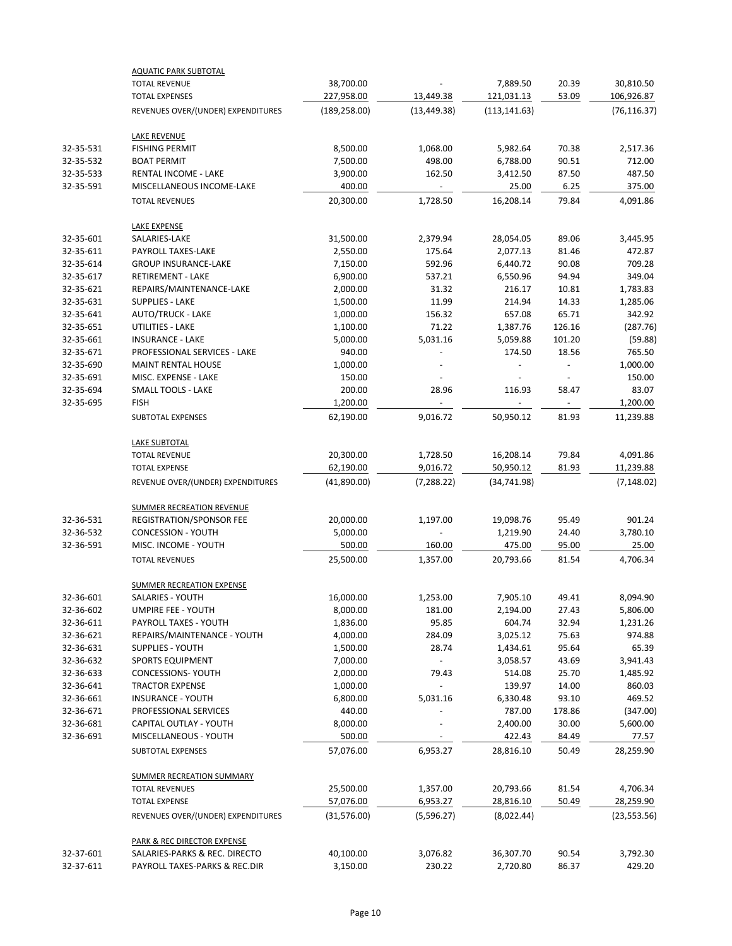|           | <b>AQUATIC PARK SUBTOTAL</b>           |                           |                        |               |                          |                           |
|-----------|----------------------------------------|---------------------------|------------------------|---------------|--------------------------|---------------------------|
|           | <b>TOTAL REVENUE</b>                   | 38,700.00                 |                        | 7,889.50      | 20.39                    | 30,810.50                 |
|           | <b>TOTAL EXPENSES</b>                  | 227,958.00                | 13,449.38              | 121,031.13    | 53.09                    | 106,926.87                |
|           | REVENUES OVER/(UNDER) EXPENDITURES     | (189, 258.00)             | (13, 449.38)           | (113, 141.63) |                          | (76, 116.37)              |
|           | <b>LAKE REVENUE</b>                    |                           |                        |               |                          |                           |
| 32-35-531 | <b>FISHING PERMIT</b>                  | 8,500.00                  | 1,068.00               | 5,982.64      | 70.38                    | 2,517.36                  |
| 32-35-532 | <b>BOAT PERMIT</b>                     | 7,500.00                  | 498.00                 | 6,788.00      | 90.51                    | 712.00                    |
| 32-35-533 | <b>RENTAL INCOME - LAKE</b>            | 3,900.00                  | 162.50                 | 3,412.50      | 87.50                    | 487.50                    |
| 32-35-591 | MISCELLANEOUS INCOME-LAKE              | 400.00                    |                        | 25.00         | 6.25                     | 375.00                    |
|           | <b>TOTAL REVENUES</b>                  | 20,300.00                 | 1,728.50               | 16,208.14     | 79.84                    | 4,091.86                  |
|           | <b>LAKE EXPENSE</b>                    |                           |                        |               |                          |                           |
| 32-35-601 | SALARIES-LAKE                          | 31,500.00                 | 2,379.94               | 28,054.05     | 89.06                    | 3,445.95                  |
| 32-35-611 | PAYROLL TAXES-LAKE                     | 2,550.00                  | 175.64                 | 2,077.13      | 81.46                    | 472.87                    |
| 32-35-614 | <b>GROUP INSURANCE-LAKE</b>            | 7,150.00                  | 592.96                 | 6,440.72      | 90.08                    | 709.28                    |
| 32-35-617 | <b>RETIREMENT - LAKE</b>               | 6,900.00                  | 537.21                 | 6,550.96      | 94.94                    | 349.04                    |
| 32-35-621 | REPAIRS/MAINTENANCE-LAKE               | 2,000.00                  | 31.32                  | 216.17        | 10.81                    | 1,783.83                  |
| 32-35-631 | <b>SUPPLIES - LAKE</b>                 | 1,500.00                  | 11.99                  | 214.94        | 14.33                    | 1,285.06                  |
| 32-35-641 | <b>AUTO/TRUCK - LAKE</b>               | 1,000.00                  | 156.32                 | 657.08        | 65.71                    | 342.92                    |
| 32-35-651 | UTILITIES - LAKE                       | 1,100.00                  | 71.22                  | 1,387.76      | 126.16                   | (287.76)                  |
| 32-35-661 | <b>INSURANCE - LAKE</b>                | 5,000.00                  | 5,031.16               | 5,059.88      | 101.20                   | (59.88)                   |
| 32-35-671 | PROFESSIONAL SERVICES - LAKE           | 940.00                    |                        | 174.50        | 18.56                    | 765.50                    |
| 32-35-690 | <b>MAINT RENTAL HOUSE</b>              | 1,000.00                  |                        |               |                          | 1,000.00                  |
| 32-35-691 | MISC. EXPENSE - LAKE                   | 150.00                    |                        |               |                          | 150.00                    |
| 32-35-694 | <b>SMALL TOOLS - LAKE</b>              | 200.00                    | 28.96                  | 116.93        | 58.47                    | 83.07                     |
| 32-35-695 | <b>FISH</b>                            | 1,200.00                  |                        |               | $\overline{\phantom{a}}$ | 1,200.00                  |
|           | SUBTOTAL EXPENSES                      | 62,190.00                 | 9,016.72               | 50,950.12     | 81.93                    | 11,239.88                 |
|           |                                        |                           |                        |               |                          |                           |
|           | <b>LAKE SUBTOTAL</b>                   |                           |                        |               |                          |                           |
|           | <b>TOTAL REVENUE</b>                   | 20,300.00                 | 1,728.50               | 16,208.14     | 79.84                    | 4,091.86                  |
|           | <b>TOTAL EXPENSE</b>                   | 62,190.00                 | 9,016.72               | 50,950.12     | 81.93                    | 11,239.88                 |
|           | REVENUE OVER/(UNDER) EXPENDITURES      | (41,890.00)               | (7, 288.22)            | (34, 741.98)  |                          | (7, 148.02)               |
|           | <b>SUMMER RECREATION REVENUE</b>       |                           |                        |               |                          |                           |
| 32-36-531 | REGISTRATION/SPONSOR FEE               | 20,000.00                 | 1,197.00               | 19,098.76     | 95.49                    | 901.24                    |
| 32-36-532 | <b>CONCESSION - YOUTH</b>              | 5,000.00                  |                        | 1,219.90      | 24.40                    | 3,780.10                  |
| 32-36-591 | MISC. INCOME - YOUTH                   | 500.00                    | 160.00                 | 475.00        | 95.00                    | 25.00                     |
|           | <b>TOTAL REVENUES</b>                  | 25,500.00                 | 1,357.00               | 20,793.66     | 81.54                    | 4,706.34                  |
|           |                                        |                           |                        |               |                          |                           |
|           | <b>SUMMER RECREATION EXPENSE</b>       |                           |                        |               |                          |                           |
| 32-36-601 | <b>SALARIES - YOUTH</b>                | 16,000.00                 | 1,253.00               | 7,905.10      | 49.41                    | 8,094.90                  |
| 32-36-602 | <b>UMPIRE FEE - YOUTH</b>              | 8,000.00                  | 181.00                 | 2,194.00      | 27.43                    | 5,806.00                  |
| 32-36-611 | PAYROLL TAXES - YOUTH                  | 1,836.00                  | 95.85                  | 604.74        | 32.94                    | 1,231.26                  |
| 32-36-621 | REPAIRS/MAINTENANCE - YOUTH            | 4,000.00                  | 284.09                 | 3,025.12      | 75.63                    | 974.88                    |
| 32-36-631 | <b>SUPPLIES - YOUTH</b>                | 1,500.00                  | 28.74                  | 1,434.61      | 95.64                    | 65.39                     |
| 32-36-632 | SPORTS EQUIPMENT                       | 7,000.00                  |                        | 3,058.57      | 43.69                    | 3,941.43                  |
| 32-36-633 | <b>CONCESSIONS- YOUTH</b>              | 2,000.00                  | 79.43                  | 514.08        | 25.70                    | 1,485.92                  |
| 32-36-641 | <b>TRACTOR EXPENSE</b>                 | 1,000.00                  |                        | 139.97        | 14.00                    | 860.03                    |
| 32-36-661 | <b>INSURANCE - YOUTH</b>               | 6,800.00                  | 5,031.16               | 6,330.48      | 93.10                    | 469.52                    |
| 32-36-671 | PROFESSIONAL SERVICES                  | 440.00                    |                        | 787.00        | 178.86                   | (347.00)                  |
| 32-36-681 | CAPITAL OUTLAY - YOUTH                 | 8,000.00                  |                        | 2,400.00      | 30.00                    | 5,600.00                  |
| 32-36-691 | MISCELLANEOUS - YOUTH                  | 500.00                    |                        | 422.43        | 84.49                    | 77.57                     |
|           | SUBTOTAL EXPENSES                      | 57,076.00                 | 6,953.27               | 28,816.10     | 50.49                    | 28,259.90                 |
|           | <b>SUMMER RECREATION SUMMARY</b>       |                           |                        |               |                          |                           |
|           | <b>TOTAL REVENUES</b>                  | 25,500.00                 | 1,357.00               | 20,793.66     | 81.54                    | 4,706.34                  |
|           | <b>TOTAL EXPENSE</b>                   |                           |                        | 28,816.10     | 50.49                    |                           |
|           | REVENUES OVER/(UNDER) EXPENDITURES     | 57,076.00<br>(31, 576.00) | 6,953.27<br>(5,596.27) | (8,022.44)    |                          | 28,259.90<br>(23, 553.56) |
|           |                                        |                           |                        |               |                          |                           |
|           | <b>PARK &amp; REC DIRECTOR EXPENSE</b> |                           |                        |               |                          |                           |
| 32-37-601 | SALARIES-PARKS & REC. DIRECTO          | 40,100.00                 | 3,076.82               | 36,307.70     | 90.54                    | 3,792.30                  |
| 32-37-611 | PAYROLL TAXES-PARKS & REC.DIR          | 3,150.00                  | 230.22                 | 2,720.80      | 86.37                    | 429.20                    |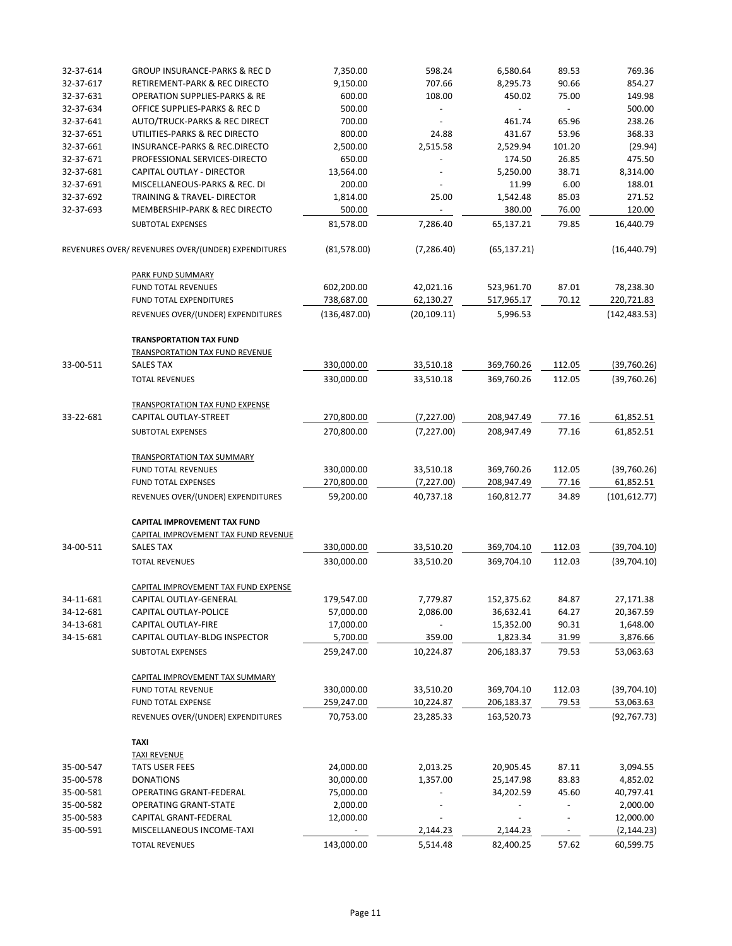| 32-37-614 | <b>GROUP INSURANCE-PARKS &amp; REC D</b>            | 7,350.00      | 598.24       | 6,580.64     | 89.53                    | 769.36        |
|-----------|-----------------------------------------------------|---------------|--------------|--------------|--------------------------|---------------|
| 32-37-617 | RETIREMENT-PARK & REC DIRECTO                       | 9,150.00      | 707.66       | 8,295.73     | 90.66                    | 854.27        |
| 32-37-631 | <b>OPERATION SUPPLIES-PARKS &amp; RE</b>            | 600.00        | 108.00       | 450.02       | 75.00                    | 149.98        |
| 32-37-634 | OFFICE SUPPLIES-PARKS & REC D                       | 500.00        |              |              | $\overline{\phantom{a}}$ | 500.00        |
| 32-37-641 | <b>AUTO/TRUCK-PARKS &amp; REC DIRECT</b>            | 700.00        |              | 461.74       | 65.96                    | 238.26        |
| 32-37-651 | UTILITIES-PARKS & REC DIRECTO                       | 800.00        | 24.88        | 431.67       | 53.96                    | 368.33        |
| 32-37-661 | <b>INSURANCE-PARKS &amp; REC.DIRECTO</b>            | 2,500.00      | 2,515.58     | 2,529.94     | 101.20                   | (29.94)       |
| 32-37-671 | PROFESSIONAL SERVICES-DIRECTO                       | 650.00        |              | 174.50       | 26.85                    | 475.50        |
| 32-37-681 | CAPITAL OUTLAY - DIRECTOR                           | 13,564.00     |              | 5,250.00     | 38.71                    | 8,314.00      |
| 32-37-691 | MISCELLANEOUS-PARKS & REC. DI                       | 200.00        |              | 11.99        | 6.00                     | 188.01        |
| 32-37-692 | TRAINING & TRAVEL- DIRECTOR                         | 1,814.00      | 25.00        | 1,542.48     | 85.03                    | 271.52        |
| 32-37-693 | MEMBERSHIP-PARK & REC DIRECTO                       | 500.00        |              | 380.00       | 76.00                    | 120.00        |
|           | SUBTOTAL EXPENSES                                   | 81,578.00     | 7,286.40     | 65,137.21    | 79.85                    | 16,440.79     |
|           | REVENURES OVER/ REVENURES OVER/(UNDER) EXPENDITURES | (81, 578.00)  | (7, 286.40)  | (65, 137.21) |                          | (16, 440.79)  |
|           | <b>PARK FUND SUMMARY</b>                            |               |              |              |                          |               |
|           | <b>FUND TOTAL REVENUES</b>                          | 602,200.00    | 42,021.16    | 523,961.70   | 87.01                    | 78,238.30     |
|           | FUND TOTAL EXPENDITURES                             | 738,687.00    | 62,130.27    | 517,965.17   | 70.12                    | 220,721.83    |
|           | REVENUES OVER/(UNDER) EXPENDITURES                  | (136, 487.00) | (20, 109.11) | 5,996.53     |                          | (142, 483.53) |
|           | <b>TRANSPORTATION TAX FUND</b>                      |               |              |              |                          |               |
|           | <b>TRANSPORTATION TAX FUND REVENUE</b>              |               |              |              |                          |               |
| 33-00-511 | <b>SALES TAX</b>                                    | 330,000.00    | 33,510.18    | 369,760.26   | 112.05                   | (39,760.26)   |
|           | <b>TOTAL REVENUES</b>                               | 330,000.00    | 33,510.18    | 369,760.26   | 112.05                   | (39,760.26)   |
|           | <b>TRANSPORTATION TAX FUND EXPENSE</b>              |               |              |              |                          |               |
| 33-22-681 | CAPITAL OUTLAY-STREET                               | 270,800.00    | (7, 227.00)  | 208,947.49   | 77.16                    | 61,852.51     |
|           | SUBTOTAL EXPENSES                                   | 270,800.00    | (7, 227.00)  | 208,947.49   | 77.16                    | 61,852.51     |
|           |                                                     |               |              |              |                          |               |
|           | <b>TRANSPORTATION TAX SUMMARY</b>                   |               |              |              |                          |               |
|           | <b>FUND TOTAL REVENUES</b>                          | 330,000.00    | 33,510.18    | 369,760.26   | 112.05                   | (39,760.26)   |
|           | <b>FUND TOTAL EXPENSES</b>                          | 270,800.00    | (7, 227.00)  | 208,947.49   | 77.16                    | 61,852.51     |
|           | REVENUES OVER/(UNDER) EXPENDITURES                  | 59,200.00     | 40,737.18    | 160,812.77   | 34.89                    | (101, 612.77) |
|           | <b>CAPITAL IMPROVEMENT TAX FUND</b>                 |               |              |              |                          |               |
|           | CAPITAL IMPROVEMENT TAX FUND REVENUE                |               |              |              |                          |               |
| 34-00-511 | <b>SALES TAX</b>                                    | 330,000.00    | 33,510.20    | 369,704.10   | 112.03                   | (39, 704.10)  |
|           | <b>TOTAL REVENUES</b>                               | 330,000.00    | 33,510.20    | 369,704.10   | 112.03                   | (39,704.10)   |
|           | CAPITAL IMPROVEMENT TAX FUND EXPENSE                |               |              |              |                          |               |
| 34-11-681 | CAPITAL OUTLAY-GENERAL                              | 179,547.00    | 7,779.87     | 152,375.62   | 84.87                    | 27,171.38     |
| 34-12-681 | CAPITAL OUTLAY-POLICE                               | 57,000.00     | 2,086.00     | 36,632.41    | 64.27                    | 20,367.59     |
| 34-13-681 | <b>CAPITAL OUTLAY-FIRE</b>                          | 17,000.00     |              | 15,352.00    | 90.31                    | 1,648.00      |
| 34-15-681 | CAPITAL OUTLAY-BLDG INSPECTOR                       | 5,700.00      | 359.00       | 1,823.34     | 31.99                    | 3,876.66      |
|           | SUBTOTAL EXPENSES                                   | 259,247.00    | 10,224.87    | 206,183.37   | 79.53                    | 53,063.63     |
|           | CAPITAL IMPROVEMENT TAX SUMMARY                     |               |              |              |                          |               |
|           | <b>FUND TOTAL REVENUE</b>                           | 330,000.00    | 33,510.20    | 369,704.10   | 112.03                   | (39, 704.10)  |
|           | FUND TOTAL EXPENSE                                  | 259,247.00    | 10,224.87    | 206,183.37   | 79.53                    | 53,063.63     |
|           | REVENUES OVER/(UNDER) EXPENDITURES                  | 70,753.00     | 23,285.33    | 163,520.73   |                          | (92, 767.73)  |
|           | <b>TAXI</b>                                         |               |              |              |                          |               |
|           | <b>TAXI REVENUE</b>                                 |               |              |              |                          |               |
| 35-00-547 | <b>TATS USER FEES</b>                               | 24,000.00     | 2,013.25     | 20,905.45    | 87.11                    | 3,094.55      |
| 35-00-578 | <b>DONATIONS</b>                                    | 30,000.00     | 1,357.00     | 25,147.98    | 83.83                    | 4,852.02      |
| 35-00-581 | OPERATING GRANT-FEDERAL                             | 75,000.00     |              | 34,202.59    | 45.60                    | 40,797.41     |
| 35-00-582 | <b>OPERATING GRANT-STATE</b>                        | 2,000.00      |              |              |                          | 2,000.00      |
| 35-00-583 | CAPITAL GRANT-FEDERAL                               | 12,000.00     |              |              |                          | 12,000.00     |
| 35-00-591 | MISCELLANEOUS INCOME-TAXI                           |               | 2,144.23     | 2,144.23     |                          | (2, 144.23)   |
|           | <b>TOTAL REVENUES</b>                               | 143,000.00    | 5,514.48     | 82,400.25    | 57.62                    | 60,599.75     |
|           |                                                     |               |              |              |                          |               |